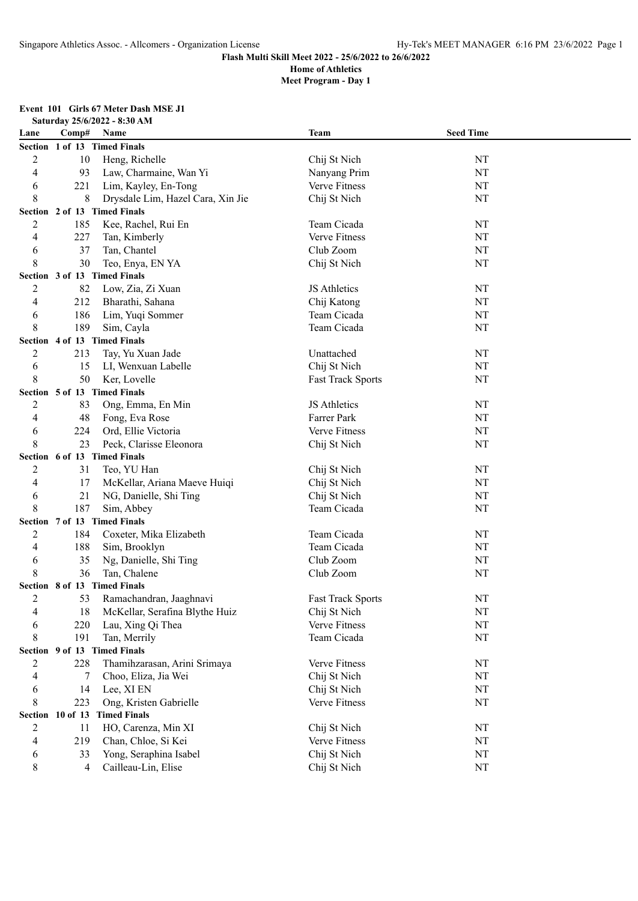# **Meet Program - Day 1**

**Event 101 Girls 67 Meter Dash MSE J1**

| Saturday 25/6/2022 - 8:30 AM |                  |                                   |                          |                  |  |  |
|------------------------------|------------------|-----------------------------------|--------------------------|------------------|--|--|
| Lane                         | Comp#            | Name                              | <b>Team</b>              | <b>Seed Time</b> |  |  |
|                              |                  | Section 1 of 13 Timed Finals      |                          |                  |  |  |
| 2                            | 10               | Heng, Richelle                    | Chij St Nich             | NT               |  |  |
| 4                            | 93               | Law, Charmaine, Wan Yi            | Nanyang Prim             | NT               |  |  |
| 6                            | 221              | Lim, Kayley, En-Tong              | Verve Fitness            | NT               |  |  |
| 8                            | 8                | Drysdale Lim, Hazel Cara, Xin Jie | Chij St Nich             | NT               |  |  |
|                              |                  | Section 2 of 13 Timed Finals      |                          |                  |  |  |
| 2                            | 185              | Kee, Rachel, Rui En               | Team Cicada              | NT               |  |  |
| 4                            | 227              | Tan, Kimberly                     | Verve Fitness            | NT               |  |  |
| 6                            | 37               | Tan, Chantel                      | Club Zoom                | NT               |  |  |
| 8                            | 30               | Teo, Enya, EN YA                  | Chij St Nich             | NT               |  |  |
|                              |                  | Section 3 of 13 Timed Finals      |                          |                  |  |  |
| 2                            | 82               | Low, Zia, Zi Xuan                 | JS Athletics             | NT               |  |  |
| 4                            | 212              | Bharathi, Sahana                  | Chij Katong              | NT               |  |  |
| 6                            | 186              | Lim, Yuqi Sommer                  | Team Cicada              | NT               |  |  |
| 8                            | 189              | Sim, Cayla                        | Team Cicada              | NT               |  |  |
|                              |                  | Section 4 of 13 Timed Finals      |                          |                  |  |  |
| 2                            | 213              | Tay, Yu Xuan Jade                 | Unattached               | NT               |  |  |
| 6                            | 15               | LI, Wenxuan Labelle               | Chij St Nich             | NT               |  |  |
| 8                            | 50               | Ker, Lovelle                      | <b>Fast Track Sports</b> | NT               |  |  |
|                              |                  | Section 5 of 13 Timed Finals      |                          |                  |  |  |
| 2                            | 83               | Ong, Emma, En Min                 | JS Athletics             | NT               |  |  |
| 4                            | 48               | Fong, Eva Rose                    | Farrer Park              | NT               |  |  |
| 6                            | 224              | Ord, Ellie Victoria               | Verve Fitness            | NT               |  |  |
| 8                            | 23               | Peck, Clarisse Eleonora           | Chij St Nich             | NT               |  |  |
|                              |                  | Section 6 of 13 Timed Finals      |                          |                  |  |  |
| 2                            | 31               | Teo, YU Han                       | Chij St Nich             | NT               |  |  |
| 4                            | 17               | McKellar, Ariana Maeve Huiqi      | Chij St Nich             | NT               |  |  |
| 6                            | 21               | NG, Danielle, Shi Ting            | Chij St Nich             | NT               |  |  |
| 8                            | 187              | Sim, Abbey                        | Team Cicada              | NT               |  |  |
|                              |                  | Section 7 of 13 Timed Finals      |                          |                  |  |  |
| 2                            | 184              | Coxeter, Mika Elizabeth           | Team Cicada              | NT               |  |  |
| 4                            | 188              | Sim, Brooklyn                     | Team Cicada              | NT               |  |  |
|                              | 35               | Ng, Danielle, Shi Ting            | Club Zoom                | NT               |  |  |
| 6<br>8                       | 36               | Tan, Chalene                      | Club Zoom                | NT               |  |  |
|                              |                  | Section 8 of 13 Timed Finals      |                          |                  |  |  |
| 2                            | 53               | Ramachandran, Jaaghnavi           | <b>Fast Track Sports</b> | NT               |  |  |
| 4                            | 18               | McKellar, Serafina Blythe Huiz    | Chij St Nich             | NT               |  |  |
|                              | 220              | Lau, Xing Qi Thea                 | Verve Fitness            | NT               |  |  |
| 6                            | 191              | Tan, Merrily                      |                          | NT               |  |  |
| 8                            |                  | Section 9 of 13 Timed Finals      | Team Cicada              |                  |  |  |
|                              | 228              | Thamihzarasan, Arini Srimaya      | Verve Fitness            | NT               |  |  |
| 2                            |                  |                                   |                          |                  |  |  |
| 4                            | 7                | Choo, Eliza, Jia Wei              | Chij St Nich             | NT               |  |  |
| 6                            | 14               | Lee, XI EN                        | Chij St Nich             | NT               |  |  |
| 8                            | 223              | Ong, Kristen Gabrielle            | Verve Fitness            | NT               |  |  |
|                              | Section 10 of 13 | <b>Timed Finals</b>               |                          |                  |  |  |
| $\overline{c}$               | 11               | HO, Carenza, Min XI               | Chij St Nich             | NT               |  |  |
| 4                            | 219              | Chan, Chloe, Si Kei               | Verve Fitness            | NT               |  |  |
| 6                            | 33               | Yong, Seraphina Isabel            | Chij St Nich             | NT               |  |  |
| 8                            | 4                | Cailleau-Lin, Elise               | Chij St Nich             | NT               |  |  |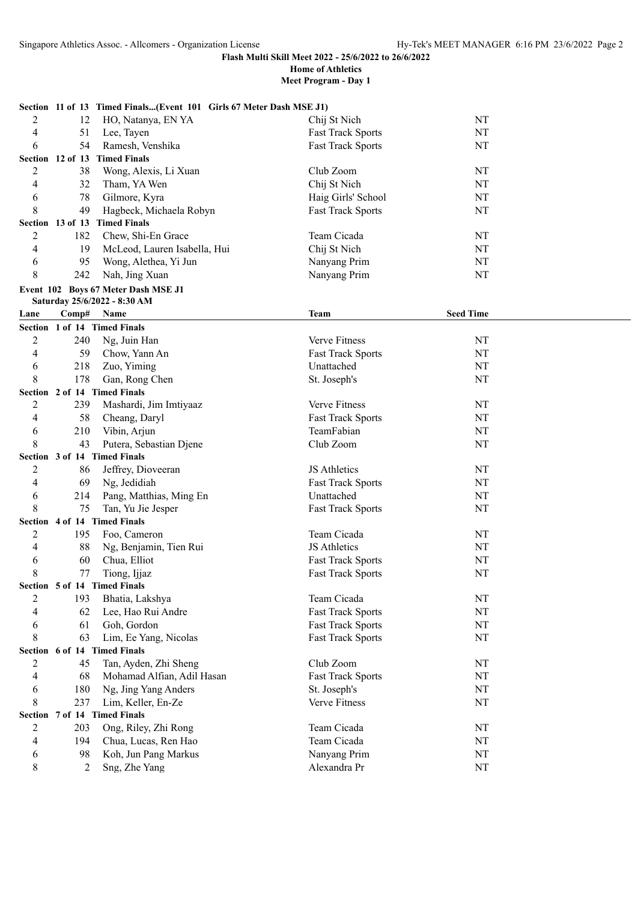|                              |     | Section 11 of 13 Timed Finals(Event 101 Girls 67 Meter Dash MSE J1) |                          |                  |
|------------------------------|-----|---------------------------------------------------------------------|--------------------------|------------------|
| 2                            | 12  | HO, Natanya, EN YA                                                  | Chij St Nich             | NT               |
| 4                            | 51  | Lee, Tayen                                                          | <b>Fast Track Sports</b> | NT               |
| 6                            | 54  | Ramesh, Venshika                                                    | <b>Fast Track Sports</b> | NT               |
| Section 12 of 13             |     | <b>Timed Finals</b>                                                 |                          |                  |
| 2                            | 38  | Wong, Alexis, Li Xuan                                               | Club Zoom                | NT               |
| 4                            | 32  | Tham, YA Wen                                                        | Chij St Nich             | NT               |
| 6                            | 78  | Gilmore, Kyra                                                       | Haig Girls' School       | NT               |
| 8                            | 49  | Hagbeck, Michaela Robyn                                             | <b>Fast Track Sports</b> | NT               |
|                              |     | Section 13 of 13 Timed Finals                                       |                          |                  |
| $\overline{2}$               | 182 | Chew, Shi-En Grace                                                  | Team Cicada              | NT               |
| 4                            | 19  | McLeod, Lauren Isabella, Hui                                        | Chij St Nich             | NT               |
| 6                            | 95  | Wong, Alethea, Yi Jun                                               | Nanyang Prim             | NT               |
| 8                            | 242 | Nah, Jing Xuan                                                      | Nanyang Prim             | NT               |
|                              |     | Event 102 Boys 67 Meter Dash MSE J1                                 |                          |                  |
|                              |     | Saturday 25/6/2022 - 8:30 AM                                        |                          |                  |
| Lane                         |     | Comp# Name                                                          | <b>Team</b>              | <b>Seed Time</b> |
| Section 1 of 14 Timed Finals |     |                                                                     |                          |                  |
| $\overline{2}$               | 240 | Ng, Juin Han                                                        | Verve Fitness            | NT               |
| 4                            | 59  | Chow, Yann An                                                       | <b>Fast Track Sports</b> | NT               |
| 6                            | 218 | Zuo, Yiming                                                         | Unattached               | NT               |
| 8                            | 178 | Gan, Rong Chen                                                      | St. Joseph's             | NT               |
| Section 2 of 14 Timed Finals |     |                                                                     |                          |                  |
| $\overline{2}$               | 239 | Mashardi, Jim Imtiyaaz                                              | Verve Fitness            | NT               |
| 4                            | 58  | Cheang, Daryl                                                       | <b>Fast Track Sports</b> | NT               |
| 6                            | 210 | Vibin, Arjun                                                        | TeamFabian               | NT               |
| 8                            | 43  | Putera, Sebastian Djene                                             | Club Zoom                | NT               |
| Section 3 of 14 Timed Finals |     |                                                                     |                          |                  |
| 2                            | 86  | Jeffrey, Dioveeran                                                  | JS Athletics             | NT               |
| 4                            | 69  | Ng, Jedidiah                                                        | <b>Fast Track Sports</b> | NT               |
| 6                            | 214 | Pang, Matthias, Ming En                                             | Unattached               | NT               |
| 8                            | 75  | Tan, Yu Jie Jesper                                                  | <b>Fast Track Sports</b> | NT               |
| Section 4 of 14 Timed Finals |     |                                                                     |                          |                  |
| 2                            | 195 | Foo, Cameron                                                        | Team Cicada              | NT               |
| 4                            | 88  | Ng, Benjamin, Tien Rui                                              | JS Athletics             | NT               |
| 6                            | 60  | Chua, Elliot                                                        | <b>Fast Track Sports</b> | NT               |
| 8                            | 77  | Tiong, Ijjaz                                                        | <b>Fast Track Sports</b> | NT               |
| Section 5 of 14 Timed Finals |     |                                                                     |                          |                  |
| 2                            | 193 | Bhatia, Lakshya                                                     | Team Cicada              | NT               |
| 4                            | 62  | Lee, Hao Rui Andre                                                  | <b>Fast Track Sports</b> | NT               |
| 6                            | 61  | Goh, Gordon                                                         | <b>Fast Track Sports</b> | $\rm{NT}$        |
| 8                            | 63  | Lim, Ee Yang, Nicolas                                               | <b>Fast Track Sports</b> | NT               |
| Section 6 of 14 Timed Finals |     |                                                                     |                          |                  |
| 2                            | 45  | Tan, Ayden, Zhi Sheng                                               | Club Zoom                | NT               |
| 4                            | 68  | Mohamad Alfian, Adil Hasan                                          | <b>Fast Track Sports</b> | NT               |
| 6                            | 180 | Ng, Jing Yang Anders                                                | St. Joseph's             | NT               |
| 8                            | 237 | Lim, Keller, En-Ze                                                  | Verve Fitness            | NT               |
| Section 7 of 14 Timed Finals |     |                                                                     |                          |                  |
| 2                            | 203 | Ong, Riley, Zhi Rong                                                | Team Cicada              | NT               |
| 4                            | 194 | Chua, Lucas, Ren Hao                                                | Team Cicada              | NT               |
| 6                            | 98  | Koh, Jun Pang Markus                                                | Nanyang Prim             | NT               |
| 8                            | 2   | Sng, Zhe Yang                                                       | Alexandra Pr             | NT               |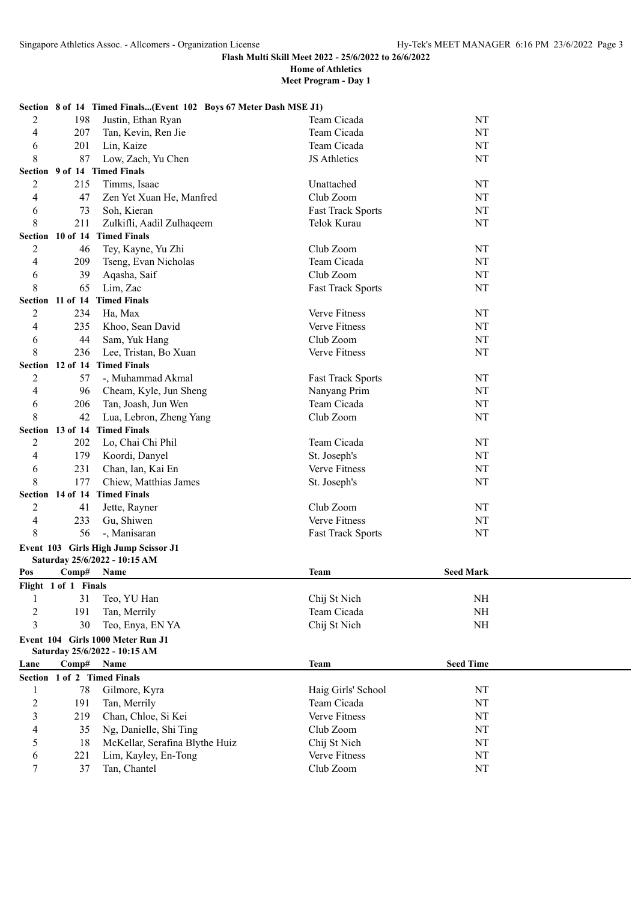|                |                      | Section 8 of 14 Timed Finals(Event 102 Boys 67 Meter Dash MSE J1) |                          |                  |  |
|----------------|----------------------|-------------------------------------------------------------------|--------------------------|------------------|--|
| 2              | 198                  | Justin, Ethan Ryan                                                | Team Cicada              | NT               |  |
| 4              | 207                  | Tan, Kevin, Ren Jie                                               | Team Cicada              | NT               |  |
| 6              | 201                  | Lin, Kaize                                                        | Team Cicada              | NT               |  |
| 8              | 87                   | Low, Zach, Yu Chen                                                | JS Athletics             | NT               |  |
|                |                      | Section 9 of 14 Timed Finals                                      |                          |                  |  |
| 2              | 215                  | Timms, Isaac                                                      | Unattached               | NT               |  |
| 4              | 47                   | Zen Yet Xuan He, Manfred                                          | Club Zoom                | NT               |  |
| 6              | 73                   | Soh, Kieran                                                       | Fast Track Sports        | NT               |  |
| 8              | 211                  | Zulkifli, Aadil Zulhaqeem                                         | Telok Kurau              | NT               |  |
|                |                      | Section 10 of 14 Timed Finals                                     |                          |                  |  |
| 2              | 46                   | Tey, Kayne, Yu Zhi                                                | Club Zoom                | NT               |  |
| 4              | 209                  | Tseng, Evan Nicholas                                              | Team Cicada              | NT               |  |
| 6              | 39                   | Aqasha, Saif                                                      | Club Zoom                | NT               |  |
| 8              | 65                   | Lim, Zac                                                          | <b>Fast Track Sports</b> | NT               |  |
|                |                      | Section 11 of 14 Timed Finals                                     |                          |                  |  |
| 2              | 234                  | Ha, Max                                                           | Verve Fitness            | NT               |  |
| 4              | 235                  | Khoo, Sean David                                                  | Verve Fitness            | NT               |  |
| 6              | 44                   | Sam, Yuk Hang                                                     | Club Zoom                | NT               |  |
| 8              | 236                  | Lee, Tristan, Bo Xuan                                             | Verve Fitness            | NT               |  |
|                | Section 12 of 14     | <b>Timed Finals</b>                                               |                          |                  |  |
| 2              | 57                   | -, Muhammad Akmal                                                 | <b>Fast Track Sports</b> | NT               |  |
| 4              | 96                   | Cheam, Kyle, Jun Sheng                                            | Nanyang Prim             | NT               |  |
| 6              | 206                  | Tan, Joash, Jun Wen                                               | Team Cicada              | NT               |  |
| 8              | 42                   | Lua, Lebron, Zheng Yang                                           | Club Zoom                | NT               |  |
|                |                      | Section 13 of 14 Timed Finals                                     |                          |                  |  |
| 2              | 202                  | Lo, Chai Chi Phil                                                 | Team Cicada              | NT               |  |
| 4              | 179                  | Koordi, Danyel                                                    | St. Joseph's             | NT               |  |
| 6              | 231                  | Chan, Ian, Kai En                                                 | Verve Fitness            | NT               |  |
| 8              | 177                  | Chiew, Matthias James                                             | St. Joseph's             | NT               |  |
|                |                      | Section 14 of 14 Timed Finals                                     |                          |                  |  |
| 2              | 41                   | Jette, Rayner                                                     | Club Zoom                | NT               |  |
| 4              | 233                  | Gu, Shiwen                                                        | Verve Fitness            | NT               |  |
| 8              | 56                   | -, Manisaran                                                      | <b>Fast Track Sports</b> | NT               |  |
|                |                      | Event 103 Girls High Jump Scissor J1                              |                          |                  |  |
|                |                      | Saturday 25/6/2022 - 10:15 AM                                     |                          |                  |  |
| Pos            | Comp#                | Name                                                              | Team                     | <b>Seed Mark</b> |  |
|                | Flight 1 of 1 Finals |                                                                   |                          |                  |  |
| 1              | 31                   | Teo, YU Han                                                       | Chij St Nich             | NH               |  |
| 2              | 191                  | Tan, Merrily                                                      | Team Cicada              | NH               |  |
| 3              | 30                   | Teo, Enya, EN YA                                                  | Chij St Nich             | NH               |  |
|                |                      | Event 104 Girls 1000 Meter Run J1                                 |                          |                  |  |
|                |                      | Saturday 25/6/2022 - 10:15 AM                                     |                          |                  |  |
| Lane           | Comp#                | Name                                                              | <b>Team</b>              | <b>Seed Time</b> |  |
|                |                      | Section 1 of 2 Timed Finals                                       |                          |                  |  |
| 1              | 78                   | Gilmore, Kyra                                                     | Haig Girls' School       | NT               |  |
| $\overline{c}$ | 191                  | Tan, Merrily                                                      | Team Cicada              | NT               |  |
| 3              | 219                  | Chan, Chloe, Si Kei                                               | Verve Fitness            | NT               |  |
| 4              | 35                   | Ng, Danielle, Shi Ting                                            | Club Zoom                | $\rm{NT}$        |  |
| 5              | 18                   | McKellar, Serafina Blythe Huiz                                    | Chij St Nich             | NT               |  |
| 6              | 221                  | Lim, Kayley, En-Tong                                              | Verve Fitness            | NT               |  |
| 7              | 37                   | Tan, Chantel                                                      | Club Zoom                | $\rm{NT}$        |  |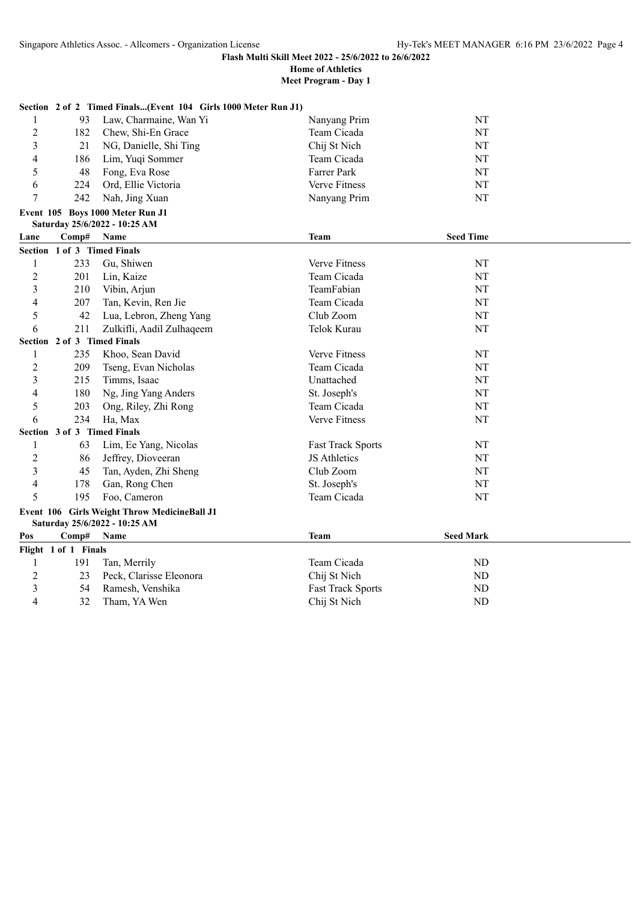| Meet Program - Day 1 |  |  |
|----------------------|--|--|
|----------------------|--|--|

|                         |                             | Section 2 of 2 Timed Finals(Event 104 Girls 1000 Meter Run J1)                |                          |                  |
|-------------------------|-----------------------------|-------------------------------------------------------------------------------|--------------------------|------------------|
| 1                       | 93                          | Law, Charmaine, Wan Yi                                                        | Nanyang Prim             | NT               |
| $\overline{c}$          | 182                         | Chew, Shi-En Grace                                                            | Team Cicada              | NT               |
| 3                       | 21                          | NG, Danielle, Shi Ting                                                        | Chij St Nich             | $\rm{NT}$        |
| 4                       | 186                         | Lim, Yuqi Sommer                                                              | Team Cicada              | NT               |
| 5                       | 48                          | Fong, Eva Rose                                                                | Farrer Park              | NT               |
| 6                       | 224                         | Ord, Ellie Victoria                                                           | Verve Fitness            | NT               |
| 7                       | 242                         | Nah, Jing Xuan                                                                | Nanyang Prim             | NT               |
|                         |                             | Event 105 Boys 1000 Meter Run J1                                              |                          |                  |
|                         |                             | Saturday 25/6/2022 - 10:25 AM                                                 |                          |                  |
| Lane                    | Comp#                       | Name                                                                          | Team                     | <b>Seed Time</b> |
|                         | Section 1 of 3 Timed Finals |                                                                               |                          |                  |
| 1                       | 233                         | Gu, Shiwen                                                                    | Verve Fitness            | NT               |
| $\overline{c}$          | 201                         | Lin, Kaize                                                                    | Team Cicada              | NT               |
| 3                       | 210                         | Vibin, Arjun                                                                  | TeamFabian               | NT               |
| 4                       | 207                         | Tan, Kevin, Ren Jie                                                           | Team Cicada              | NT               |
| 5                       | 42                          | Lua, Lebron, Zheng Yang                                                       | Club Zoom                | NT               |
| 6                       | 211                         | Zulkifli, Aadil Zulhaqeem                                                     | Telok Kurau              | NT               |
|                         | Section 2 of 3 Timed Finals |                                                                               |                          |                  |
| 1                       | 235                         | Khoo, Sean David                                                              | Verve Fitness            | NT               |
| $\overline{2}$          | 209                         | Tseng, Evan Nicholas                                                          | Team Cicada              | NT               |
| 3                       | 215                         | Timms, Isaac                                                                  | Unattached               | $\rm{NT}$        |
| 4                       | 180                         | Ng, Jing Yang Anders                                                          | St. Joseph's             | NT               |
| 5                       | 203                         | Ong, Riley, Zhi Rong                                                          | Team Cicada              | NT               |
| 6                       | 234                         | Ha, Max                                                                       | Verve Fitness            | NT               |
|                         | Section 3 of 3 Timed Finals |                                                                               |                          |                  |
| 1                       | 63                          | Lim, Ee Yang, Nicolas                                                         | <b>Fast Track Sports</b> | NT               |
| $\overline{c}$          | 86                          | Jeffrey, Dioveeran                                                            | JS Athletics             | NT               |
| 3                       | 45                          | Tan, Ayden, Zhi Sheng                                                         | Club Zoom                | NT               |
| 4                       | 178                         | Gan, Rong Chen                                                                | St. Joseph's             | $\rm{NT}$        |
| 5                       | 195                         | Foo, Cameron                                                                  | Team Cicada              | NT               |
|                         |                             | Event 106 Girls Weight Throw MedicineBall J1<br>Saturday 25/6/2022 - 10:25 AM |                          |                  |
| Pos                     | Comp#                       | Name                                                                          | <b>Team</b>              | <b>Seed Mark</b> |
|                         | Flight 1 of 1 Finals        |                                                                               |                          |                  |
| 1                       | 191                         | Tan, Merrily                                                                  | Team Cicada              | ND               |
| $\overline{c}$          | 23                          | Peck, Clarisse Eleonora                                                       | Chij St Nich             | ND               |
| $\overline{\mathbf{3}}$ | 54                          | Ramesh, Venshika                                                              | <b>Fast Track Sports</b> | <b>ND</b>        |
| 4                       | 32                          | Tham, YA Wen                                                                  | Chij St Nich             | <b>ND</b>        |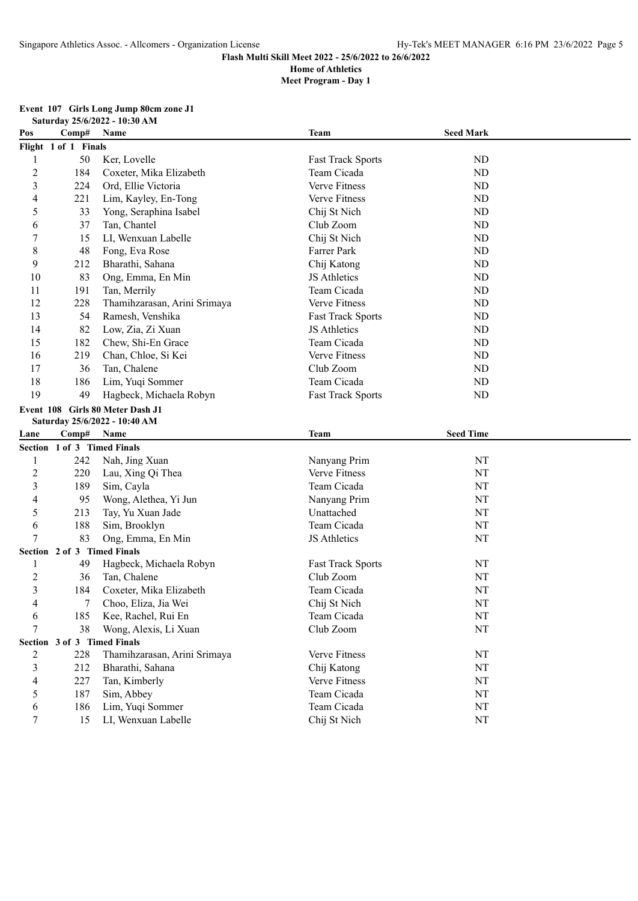|  |  |                               | Event 107 Girls Long Jump 80cm zone J1 |
|--|--|-------------------------------|----------------------------------------|
|  |  | Saturday 25/6/2022 - 10:30 AM |                                        |

| Pos                     | Comp#                       | Name                             | <b>Team</b>              | <b>Seed Mark</b> |  |
|-------------------------|-----------------------------|----------------------------------|--------------------------|------------------|--|
|                         | Flight 1 of 1 Finals        |                                  |                          |                  |  |
| 1                       | 50                          | Ker, Lovelle                     | <b>Fast Track Sports</b> | ND               |  |
| $\overline{c}$          | 184                         | Coxeter, Mika Elizabeth          | Team Cicada              | ND               |  |
| 3                       | 224                         | Ord, Ellie Victoria              | Verve Fitness            | ND               |  |
| 4                       | 221                         | Lim, Kayley, En-Tong             | Verve Fitness            | ND               |  |
| 5                       | 33                          | Yong, Seraphina Isabel           | Chij St Nich             | ND               |  |
| 6                       | 37                          | Tan, Chantel                     | Club Zoom                | ND               |  |
| 7                       | 15                          | LI, Wenxuan Labelle              | Chij St Nich             | ND               |  |
| 8                       | 48                          | Fong, Eva Rose                   | Farrer Park              | ND               |  |
| 9                       | 212                         | Bharathi, Sahana                 | Chij Katong              | ND               |  |
| 10                      | 83                          | Ong, Emma, En Min                | JS Athletics             | ND               |  |
| 11                      | 191                         | Tan, Merrily                     | Team Cicada              | ND               |  |
| 12                      | 228                         | Thamihzarasan, Arini Srimaya     | Verve Fitness            | ND               |  |
| 13                      | 54                          | Ramesh, Venshika                 | <b>Fast Track Sports</b> | ND               |  |
| 14                      | 82                          | Low, Zia, Zi Xuan                | JS Athletics             | ND               |  |
| 15                      | 182                         | Chew, Shi-En Grace               | Team Cicada              | ND               |  |
| 16                      | 219                         | Chan, Chloe, Si Kei              | <b>Verve Fitness</b>     | ND               |  |
| 17                      | 36                          | Tan, Chalene                     | Club Zoom                | ND               |  |
| 18                      | 186                         | Lim, Yuqi Sommer                 | Team Cicada              | ND               |  |
| 19                      | 49                          | Hagbeck, Michaela Robyn          | <b>Fast Track Sports</b> | ND               |  |
|                         |                             | Event 108 Girls 80 Meter Dash J1 |                          |                  |  |
|                         |                             | Saturday 25/6/2022 - 10:40 AM    |                          |                  |  |
|                         |                             |                                  |                          |                  |  |
| Lane                    | Comp#                       | Name                             | <b>Team</b>              | <b>Seed Time</b> |  |
|                         | Section 1 of 3 Timed Finals |                                  |                          |                  |  |
| $\mathbf{1}$            | 242                         | Nah, Jing Xuan                   | Nanyang Prim             | NT               |  |
| $\overline{2}$          | 220                         | Lau, Xing Qi Thea                | Verve Fitness            | NT               |  |
| $\overline{\mathbf{3}}$ | 189                         | Sim, Cayla                       | Team Cicada              | NT               |  |
| 4                       | 95                          | Wong, Alethea, Yi Jun            | Nanyang Prim             | NT               |  |
| 5                       | 213                         | Tay, Yu Xuan Jade                | Unattached               | NT               |  |
| 6                       | 188                         | Sim, Brooklyn                    | Team Cicada              | NT               |  |
| 7                       | 83                          | Ong, Emma, En Min                | JS Athletics             | <b>NT</b>        |  |
|                         | Section 2 of 3 Timed Finals |                                  |                          |                  |  |
| 1                       | 49                          | Hagbeck, Michaela Robyn          | <b>Fast Track Sports</b> | NT               |  |
| $\overline{c}$          | 36                          | Tan, Chalene                     | Club Zoom                | NT               |  |
| $\overline{3}$          | 184                         | Coxeter, Mika Elizabeth          | Team Cicada              | NT               |  |
| 4                       | 7                           | Choo, Eliza, Jia Wei             | Chij St Nich             | NT               |  |
| 6                       | 185                         | Kee, Rachel, Rui En              | Team Cicada              | NT               |  |
| 7                       | 38                          | Wong, Alexis, Li Xuan            | Club Zoom                | NT               |  |
|                         | Section 3 of 3 Timed Finals |                                  |                          |                  |  |
| $\overline{c}$          | 228                         | Thamihzarasan, Arini Srimaya     | Verve Fitness            | NT               |  |
| 3                       | 212                         | Bharathi, Sahana                 | Chij Katong              | NT               |  |
| 4                       | 227                         | Tan, Kimberly                    | Verve Fitness            | NT               |  |
| 5                       | 187                         | Sim, Abbey                       | Team Cicada              | NT               |  |
| 6                       | 186                         | Lim, Yuqi Sommer                 | Team Cicada              | NT               |  |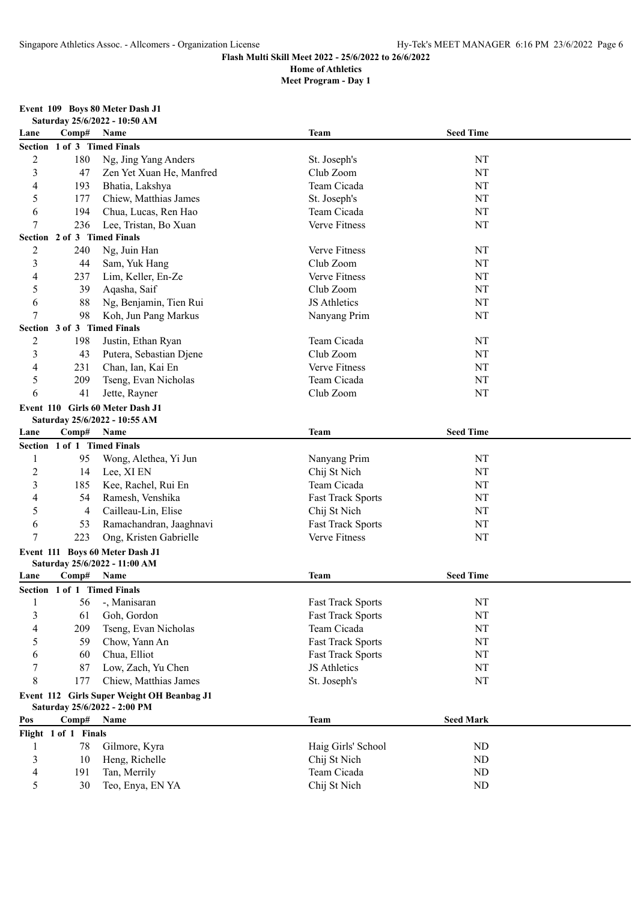## **Meet Program - Day 1**

# **Event 109 Boys 80 Meter Dash J1**

| Lane           | Comp#                       | Name                                       | <b>Team</b>              | <b>Seed Time</b> |  |
|----------------|-----------------------------|--------------------------------------------|--------------------------|------------------|--|
| <b>Section</b> |                             | 1 of 3 Timed Finals                        |                          |                  |  |
| $\overline{c}$ | 180                         | Ng, Jing Yang Anders                       | St. Joseph's             | NT               |  |
| 3              | 47                          | Zen Yet Xuan He, Manfred                   | Club Zoom                | NT               |  |
| 4              | 193                         | Bhatia, Lakshya                            | Team Cicada              | NT               |  |
| 5              | 177                         | Chiew, Matthias James                      | St. Joseph's             | NT               |  |
| 6              | 194                         | Chua, Lucas, Ren Hao                       | Team Cicada              | NT               |  |
| 7              | 236                         | Lee, Tristan, Bo Xuan                      | Verve Fitness            | NT               |  |
| <b>Section</b> | 2 of 3 Timed Finals         |                                            |                          |                  |  |
| $\overline{c}$ | 240                         | Ng, Juin Han                               | Verve Fitness            | NT               |  |
| 3              | 44                          | Sam, Yuk Hang                              | Club Zoom                | NT               |  |
| 4              | 237                         | Lim, Keller, En-Ze                         | Verve Fitness            | NT               |  |
| 5              | 39                          | Aqasha, Saif                               | Club Zoom                | NT               |  |
| 6              | 88                          | Ng, Benjamin, Tien Rui                     | JS Athletics             | NT               |  |
| 7              | 98                          | Koh, Jun Pang Markus                       | Nanyang Prim             | NT               |  |
| <b>Section</b> | 3 of 3 Timed Finals         |                                            |                          |                  |  |
| $\overline{c}$ | 198                         | Justin, Ethan Ryan                         | Team Cicada              | NT               |  |
| 3              | 43                          | Putera, Sebastian Djene                    | Club Zoom                | NT               |  |
| 4              | 231                         | Chan, Ian, Kai En                          | Verve Fitness            | NT               |  |
| 5              | 209                         | Tseng, Evan Nicholas                       | Team Cicada              | NT               |  |
| 6              | 41                          | Jette, Rayner                              | Club Zoom                | NT               |  |
|                |                             | Event 110 Girls 60 Meter Dash J1           |                          |                  |  |
|                |                             | Saturday 25/6/2022 - 10:55 AM              |                          |                  |  |
| Lane           | Comp#                       | Name                                       | <b>Team</b>              | <b>Seed Time</b> |  |
| <b>Section</b> | 1 of 1 Timed Finals         |                                            |                          |                  |  |
|                | 95                          | Wong, Alethea, Yi Jun                      | Nanyang Prim             | NT               |  |
| $\overline{c}$ | 14                          | Lee, XI EN                                 | Chij St Nich             | NT               |  |
| 3              | 185                         | Kee, Rachel, Rui En                        | Team Cicada              | NT               |  |
| 4              | 54                          | Ramesh, Venshika                           | <b>Fast Track Sports</b> | NT               |  |
| 5              | 4                           | Cailleau-Lin, Elise                        | Chij St Nich             | NT               |  |
| 6              | 53                          | Ramachandran, Jaaghnavi                    | <b>Fast Track Sports</b> | NT               |  |
| 7              | 223                         | Ong, Kristen Gabrielle                     | Verve Fitness            | NT               |  |
|                |                             | Event 111 Boys 60 Meter Dash J1            |                          |                  |  |
|                |                             | Saturday 25/6/2022 - 11:00 AM              |                          |                  |  |
| Lane           | Comp#                       | Name                                       | <b>Team</b>              | <b>Seed Time</b> |  |
|                | Section 1 of 1 Timed Finals |                                            |                          |                  |  |
| 1              | 56                          | -, Manisaran                               | <b>Fast Track Sports</b> | NT               |  |
| 3              | 61                          | Goh, Gordon                                | <b>Fast Track Sports</b> | NT               |  |
|                | 209                         | Tseng, Evan Nicholas                       | Team Cicada              | NT               |  |
| 5              | 59                          | Chow, Yann An                              | <b>Fast Track Sports</b> | NT               |  |
| 6              | 60                          | Chua, Elliot                               | <b>Fast Track Sports</b> | NT               |  |
| 7              | 87                          | Low, Zach, Yu Chen                         | JS Athletics             | NT               |  |
| 8              | 177                         | Chiew, Matthias James                      | St. Joseph's             | NT               |  |
|                |                             | Event 112 Girls Super Weight OH Beanbag J1 |                          |                  |  |
|                |                             | Saturday 25/6/2022 - 2:00 PM               |                          |                  |  |
| Pos            | Comp#                       | Name                                       | <b>Team</b>              | <b>Seed Mark</b> |  |
|                | Flight 1 of 1 Finals        |                                            |                          |                  |  |
| 1              | 78                          | Gilmore, Kyra                              | Haig Girls' School       | ND               |  |
| 3              | 10                          | Heng, Richelle                             | Chij St Nich             | ND               |  |
| 4              | 191                         | Tan, Merrily                               | Team Cicada              | ND               |  |
| 5              | 30                          | Teo, Enya, EN YA                           | Chij St Nich             | ND               |  |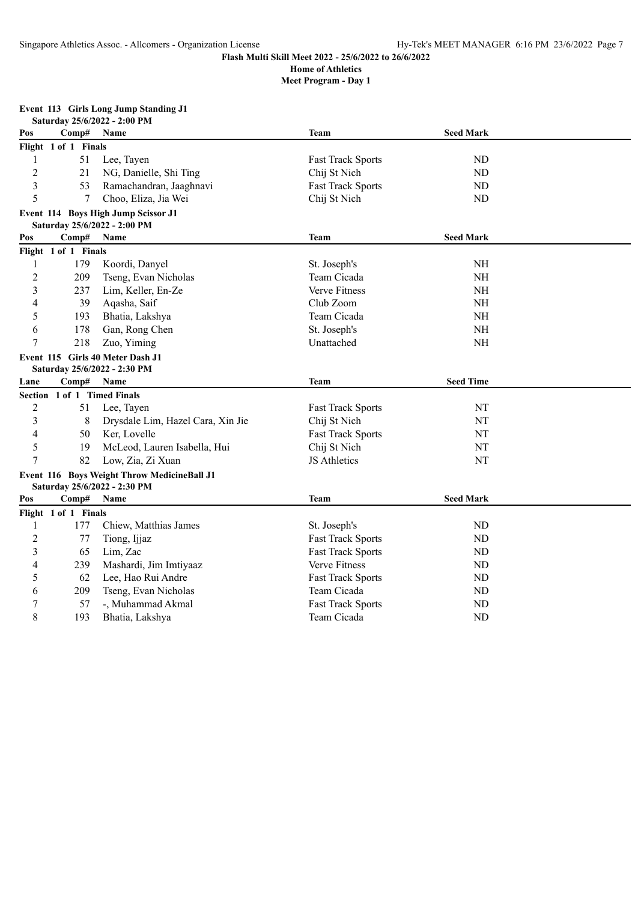**Meet Program - Day 1**

### **Event 113 Girls Long Jump Standing J1**

|                | Saturday 25/6/2022 - 2:00 PM |                                                                             |                          |                  |  |  |  |
|----------------|------------------------------|-----------------------------------------------------------------------------|--------------------------|------------------|--|--|--|
| Pos            | Comp#                        | Name                                                                        | <b>Team</b>              | <b>Seed Mark</b> |  |  |  |
|                | Flight 1 of 1 Finals         |                                                                             |                          |                  |  |  |  |
| 1              | 51                           | Lee, Tayen                                                                  | <b>Fast Track Sports</b> | ND               |  |  |  |
| $\overline{c}$ | 21                           | NG, Danielle, Shi Ting                                                      | Chij St Nich             | ND               |  |  |  |
| 3              | 53                           | Ramachandran, Jaaghnavi                                                     | <b>Fast Track Sports</b> | ND               |  |  |  |
| 5              | 7                            | Choo, Eliza, Jia Wei                                                        | Chij St Nich             | ND               |  |  |  |
|                |                              | Event 114 Boys High Jump Scissor J1<br>Saturday 25/6/2022 - 2:00 PM         |                          |                  |  |  |  |
| Pos            | Comp#                        | Name                                                                        | Team                     | <b>Seed Mark</b> |  |  |  |
|                | Flight 1 of 1 Finals         |                                                                             |                          |                  |  |  |  |
| 1              | 179                          | Koordi, Danyel                                                              | St. Joseph's             | <b>NH</b>        |  |  |  |
| $\overline{c}$ | 209                          | Tseng, Evan Nicholas                                                        | Team Cicada              | NH               |  |  |  |
| 3              | 237                          | Lim, Keller, En-Ze                                                          | Verve Fitness            | <b>NH</b>        |  |  |  |
| 4              | 39                           | Aqasha, Saif                                                                | Club Zoom                | NH               |  |  |  |
| 5              | 193                          | Bhatia, Lakshya                                                             | Team Cicada              | <b>NH</b>        |  |  |  |
| 6              | 178                          | Gan, Rong Chen                                                              | St. Joseph's             | <b>NH</b>        |  |  |  |
| 7              | 218                          | Zuo, Yiming                                                                 | Unattached               | <b>NH</b>        |  |  |  |
|                |                              | Event 115 Girls 40 Meter Dash J1<br>Saturday 25/6/2022 - 2:30 PM            |                          |                  |  |  |  |
| Lane           | Comp#                        | Name                                                                        | Team                     | <b>Seed Time</b> |  |  |  |
|                | Section 1 of 1 Timed Finals  |                                                                             |                          |                  |  |  |  |
| $\overline{c}$ | 51                           | Lee, Tayen                                                                  | <b>Fast Track Sports</b> | NT               |  |  |  |
| 3              | 8                            | Drysdale Lim, Hazel Cara, Xin Jie                                           | Chij St Nich             | NT               |  |  |  |
| 4              | 50                           | Ker, Lovelle                                                                | <b>Fast Track Sports</b> | NT               |  |  |  |
| 5              | 19                           | McLeod, Lauren Isabella, Hui                                                | Chij St Nich             | NT               |  |  |  |
| $\overline{7}$ | 82                           | Low, Zia, Zi Xuan                                                           | JS Athletics             | NT               |  |  |  |
|                |                              | Event 116 Boys Weight Throw MedicineBall J1<br>Saturday 25/6/2022 - 2:30 PM |                          |                  |  |  |  |
| Pos            | Comp#                        | Name                                                                        | <b>Team</b>              | <b>Seed Mark</b> |  |  |  |
|                | Flight 1 of 1 Finals         |                                                                             |                          |                  |  |  |  |
| 1              | 177                          | Chiew, Matthias James                                                       | St. Joseph's             | ND               |  |  |  |
| $\overline{c}$ | 77                           | Tiong, Ijjaz                                                                | <b>Fast Track Sports</b> | ND               |  |  |  |
| 3              | 65                           | Lim, Zac                                                                    | <b>Fast Track Sports</b> | ND               |  |  |  |
| 4              | 239                          | Mashardi, Jim Imtiyaaz                                                      | Verve Fitness            | ND               |  |  |  |
| 5              | 62                           | Lee, Hao Rui Andre                                                          | <b>Fast Track Sports</b> | ND               |  |  |  |
| 6              | 209                          | Tseng, Evan Nicholas                                                        | Team Cicada              | ND               |  |  |  |
| $\overline{7}$ | 57                           | -, Muhammad Akmal                                                           | <b>Fast Track Sports</b> | ND               |  |  |  |
| 8              | 193                          | Bhatia, Lakshya                                                             | Team Cicada              | <b>ND</b>        |  |  |  |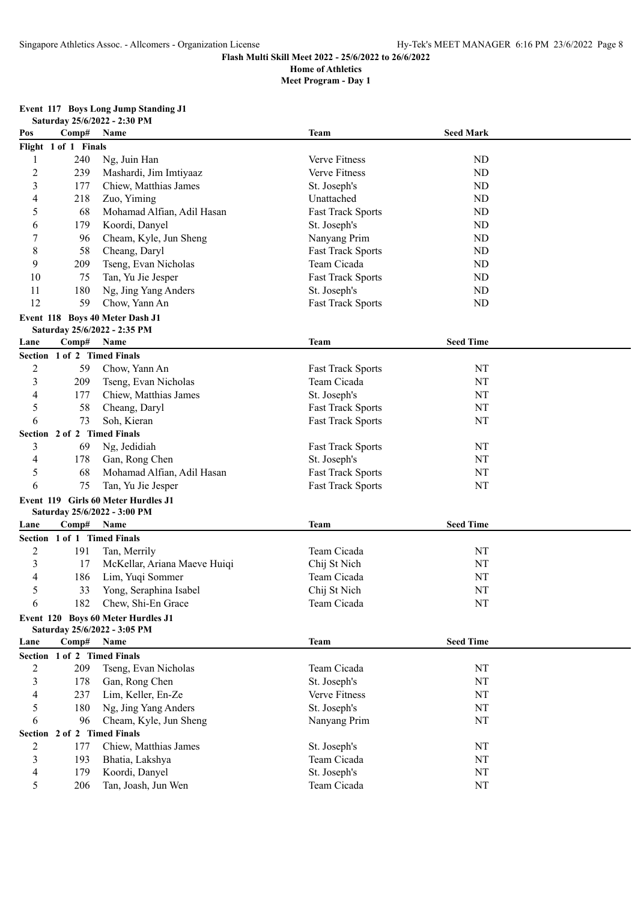## **Meet Program - Day 1**

## **Event 117 Boys Long Jump Standing J1**

|                |                                | Saturday 25/6/2022 - 2:30 PM        |                          |                  |  |  |  |
|----------------|--------------------------------|-------------------------------------|--------------------------|------------------|--|--|--|
| Pos            | Comp#                          | Name                                | Team                     | <b>Seed Mark</b> |  |  |  |
|                | Flight 1 of 1 Finals           |                                     |                          |                  |  |  |  |
| 1              | 240                            | Ng, Juin Han                        | Verve Fitness            | ND               |  |  |  |
| $\overline{c}$ | 239                            | Mashardi, Jim Imtiyaaz              | Verve Fitness            | ND               |  |  |  |
| 3              | 177                            | Chiew, Matthias James               | St. Joseph's             | ND               |  |  |  |
| 4              | 218                            | Zuo, Yiming                         | Unattached               | N <sub>D</sub>   |  |  |  |
| 5              | 68                             | Mohamad Alfian, Adil Hasan          | <b>Fast Track Sports</b> | N <sub>D</sub>   |  |  |  |
| 6              | 179                            | Koordi, Danyel                      | St. Joseph's             | N <sub>D</sub>   |  |  |  |
| 7              | 96                             | Cheam, Kyle, Jun Sheng              | Nanyang Prim             | <b>ND</b>        |  |  |  |
| 8              | 58                             | Cheang, Daryl                       | <b>Fast Track Sports</b> | ND               |  |  |  |
| 9              | 209                            | Tseng, Evan Nicholas                | Team Cicada              | ND               |  |  |  |
| 10             | 75                             | Tan, Yu Jie Jesper                  | <b>Fast Track Sports</b> | ND               |  |  |  |
| 11             | 180                            | Ng, Jing Yang Anders                | St. Joseph's             | ND               |  |  |  |
| 12             | 59                             | Chow, Yann An                       | <b>Fast Track Sports</b> | <b>ND</b>        |  |  |  |
|                |                                | Event 118 Boys 40 Meter Dash J1     |                          |                  |  |  |  |
|                |                                | Saturday 25/6/2022 - 2:35 PM        |                          |                  |  |  |  |
| Lane           | Comp#                          | Name                                | Team                     | <b>Seed Time</b> |  |  |  |
|                | Section 1 of 2 Timed Finals    |                                     |                          |                  |  |  |  |
| $\overline{c}$ | 59                             | Chow, Yann An                       | <b>Fast Track Sports</b> | NT               |  |  |  |
| 3              | 209                            | Tseng, Evan Nicholas                | Team Cicada              | NT               |  |  |  |
| 4              | 177                            | Chiew, Matthias James               | St. Joseph's             | NT               |  |  |  |
| 5              | 58                             | Cheang, Daryl                       | <b>Fast Track Sports</b> | NT               |  |  |  |
| 6              | 73                             | Soh, Kieran                         | <b>Fast Track Sports</b> | NT               |  |  |  |
|                | Section 2 of 2 Timed Finals    |                                     |                          |                  |  |  |  |
| 3              | 69                             | Ng, Jedidiah                        | <b>Fast Track Sports</b> | NT               |  |  |  |
| 4              | 178                            | Gan, Rong Chen                      | St. Joseph's             | NT               |  |  |  |
| 5              | 68                             | Mohamad Alfian, Adil Hasan          | <b>Fast Track Sports</b> | NT               |  |  |  |
| 6              | 75                             | Tan, Yu Jie Jesper                  | <b>Fast Track Sports</b> | NT               |  |  |  |
|                |                                | Event 119 Girls 60 Meter Hurdles J1 |                          |                  |  |  |  |
|                |                                | Saturday 25/6/2022 - 3:00 PM        |                          |                  |  |  |  |
| Lane           | Comp#                          | <b>Name</b>                         | <b>Team</b>              | <b>Seed Time</b> |  |  |  |
|                | Section 1 of 1 Timed Finals    |                                     |                          |                  |  |  |  |
| $\overline{c}$ | 191                            | Tan, Merrily                        | Team Cicada              | NT               |  |  |  |
| 3              | 17                             | McKellar, Ariana Maeve Huiqi        | Chij St Nich             | NT               |  |  |  |
| 4              | 186                            | Lim, Yuqi Sommer                    | Team Cicada              | NT               |  |  |  |
| 5              | 33                             | Yong, Seraphina Isabel              | Chij St Nich             | NT               |  |  |  |
| 6              | 182                            | Chew, Shi-En Grace                  | Team Cicada              | NT               |  |  |  |
|                |                                | Event 120 Boys 60 Meter Hurdles J1  |                          |                  |  |  |  |
|                |                                | Saturday 25/6/2022 - 3:05 PM        |                          |                  |  |  |  |
| Lane           | Comp#                          | Name                                | <b>Team</b>              | <b>Seed Time</b> |  |  |  |
|                | Section 1 of 2 Timed Finals    |                                     |                          |                  |  |  |  |
| $\overline{c}$ | 209                            | Tseng, Evan Nicholas                | Team Cicada              | NT               |  |  |  |
| 3              | 178                            | Gan, Rong Chen                      | St. Joseph's             | NT               |  |  |  |
| 4              | 237                            | Lim, Keller, En-Ze                  | Verve Fitness            | NT               |  |  |  |
| 5              | 180                            | Ng, Jing Yang Anders                | St. Joseph's             | NT               |  |  |  |
| 6              | 96                             | Cheam, Kyle, Jun Sheng              | Nanyang Prim             | NT               |  |  |  |
|                | 2 of 2 Timed Finals<br>Section |                                     |                          |                  |  |  |  |
| $\overline{2}$ | 177                            | Chiew, Matthias James               | St. Joseph's             | NT               |  |  |  |
| 3              | 193                            | Bhatia, Lakshya                     | Team Cicada              | NT               |  |  |  |
| $\overline{4}$ | 179                            | Koordi, Danyel                      | St. Joseph's             | $\rm{NT}$        |  |  |  |
| 5              | 206                            | Tan, Joash, Jun Wen                 | Team Cicada              | NT               |  |  |  |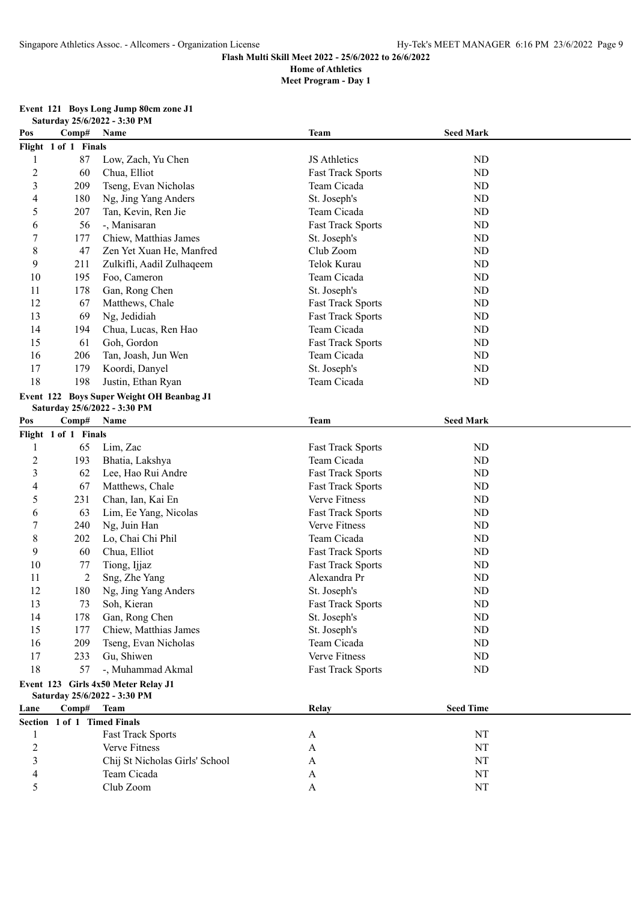|  |  |                              | Event 121 Boys Long Jump 80cm zone J1 |
|--|--|------------------------------|---------------------------------------|
|  |  | Saturday 25/6/2022 - 3:30 PM |                                       |

| Pos            | Comp#                       | Name                                      | Team                     | <b>Seed Mark</b> |  |  |  |
|----------------|-----------------------------|-------------------------------------------|--------------------------|------------------|--|--|--|
|                | Flight 1 of 1 Finals        |                                           |                          |                  |  |  |  |
| $\mathbf{1}$   | 87                          | Low, Zach, Yu Chen                        | JS Athletics             | ND               |  |  |  |
| $\sqrt{2}$     | 60                          | Chua, Elliot                              | <b>Fast Track Sports</b> | ND               |  |  |  |
| 3              | 209                         | Tseng, Evan Nicholas                      | Team Cicada              | ND               |  |  |  |
| 4              | 180                         | Ng, Jing Yang Anders                      | St. Joseph's             | ND               |  |  |  |
| 5              | 207                         | Tan, Kevin, Ren Jie                       | Team Cicada              | ND               |  |  |  |
| 6              | 56                          | -, Manisaran                              | <b>Fast Track Sports</b> | ND               |  |  |  |
| 7              | 177                         | Chiew, Matthias James                     | St. Joseph's             | ND               |  |  |  |
| $8\,$          | 47                          | Zen Yet Xuan He, Manfred                  | Club Zoom                | ND               |  |  |  |
| 9              | 211                         | Zulkifli, Aadil Zulhaqeem                 | Telok Kurau              | ND               |  |  |  |
| 10             | 195                         | Foo, Cameron                              | Team Cicada              | ND               |  |  |  |
| 11             | 178                         | Gan, Rong Chen                            | St. Joseph's             | ND               |  |  |  |
| 12             | 67                          | Matthews, Chale                           | <b>Fast Track Sports</b> | ND               |  |  |  |
| 13             | 69                          | Ng, Jedidiah                              | <b>Fast Track Sports</b> | ND               |  |  |  |
| 14             | 194                         | Chua, Lucas, Ren Hao                      | Team Cicada              | ND               |  |  |  |
| 15             | 61                          | Goh, Gordon                               | <b>Fast Track Sports</b> | ND               |  |  |  |
| 16             | 206                         | Tan, Joash, Jun Wen                       | Team Cicada              | ND               |  |  |  |
| 17             | 179                         | Koordi, Danyel                            | St. Joseph's             | ND               |  |  |  |
| 18             | 198                         | Justin, Ethan Ryan                        | Team Cicada              | ND               |  |  |  |
|                |                             | Event 122 Boys Super Weight OH Beanbag J1 |                          |                  |  |  |  |
|                |                             | Saturday 25/6/2022 - 3:30 PM              |                          |                  |  |  |  |
| Pos            | Comp# Name                  |                                           | <b>Team</b>              | <b>Seed Mark</b> |  |  |  |
|                | Flight 1 of 1 Finals        |                                           |                          |                  |  |  |  |
| 1              | 65                          | Lim, Zac                                  | <b>Fast Track Sports</b> | ND               |  |  |  |
| $\overline{c}$ | 193                         | Bhatia, Lakshya                           | Team Cicada              | ND               |  |  |  |
| 3              | 62                          | Lee, Hao Rui Andre                        | <b>Fast Track Sports</b> | ND               |  |  |  |
| 4              | 67                          | Matthews, Chale                           | <b>Fast Track Sports</b> | ND               |  |  |  |
| 5              | 231                         | Chan, Ian, Kai En                         | Verve Fitness            | ND               |  |  |  |
| 6              | 63                          | Lim, Ee Yang, Nicolas                     | <b>Fast Track Sports</b> | ND               |  |  |  |
| 7              | 240                         | Ng, Juin Han                              | Verve Fitness            | ND               |  |  |  |
| 8              | 202                         | Lo, Chai Chi Phil                         | Team Cicada              | ND               |  |  |  |
| 9              | 60                          | Chua, Elliot                              | <b>Fast Track Sports</b> | ND               |  |  |  |
| 10             | 77                          | Tiong, Ijjaz                              | <b>Fast Track Sports</b> | ND               |  |  |  |
| 11             | 2                           | Sng, Zhe Yang                             | Alexandra Pr             | ND               |  |  |  |
| 12             | 180                         | Ng, Jing Yang Anders                      | St. Joseph's             | ND               |  |  |  |
| 13             | 73                          | Soh, Kieran                               | <b>Fast Track Sports</b> | ND               |  |  |  |
| 14             | 178                         | Gan, Rong Chen                            | St. Joseph's             | ND               |  |  |  |
| 15             | 177                         | Chiew, Matthias James                     | St. Joseph's             | ND               |  |  |  |
| 16             | 209                         | Tseng, Evan Nicholas                      | Team Cicada              | ND               |  |  |  |
| 17             | 233                         | Gu, Shiwen                                | Verve Fitness            | ND               |  |  |  |
| 18             | 57                          | -, Muhammad Akmal                         | <b>Fast Track Sports</b> | ND               |  |  |  |
|                |                             | Event 123 Girls 4x50 Meter Relay J1       |                          |                  |  |  |  |
|                |                             | Saturday 25/6/2022 - 3:30 PM              |                          |                  |  |  |  |
| Lane           | Comp#                       | <b>Team</b>                               | Relay                    | <b>Seed Time</b> |  |  |  |
|                | Section 1 of 1 Timed Finals |                                           |                          |                  |  |  |  |
| 1              |                             | <b>Fast Track Sports</b>                  | A                        | NT               |  |  |  |
| $\overline{c}$ |                             | Verve Fitness                             | A                        | NT               |  |  |  |
| 3              |                             | Chij St Nicholas Girls' School            | A                        | NT               |  |  |  |
| 4              |                             | Team Cicada                               | A                        | NT               |  |  |  |
| 5              |                             | Club Zoom                                 | A                        | NT               |  |  |  |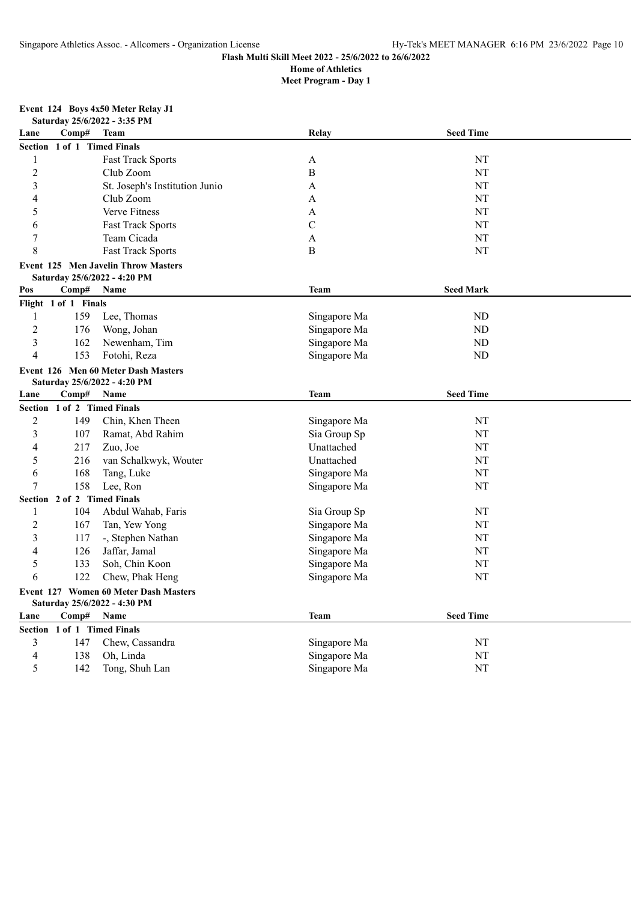# **Flash Multi Skill Meet 2022 - 25/6/2022 to 26/6/2022**

**Home of Athletics Meet Program - Day 1**

#### **Event 124 Boys 4x50 Meter Relay J1**

|  | vent 124 Boys 4x50 Meter Relay J1 |  |
|--|-----------------------------------|--|
|  | Saturday 25/6/2022 - 3:35 PM      |  |

| Lane                    | Comp#                | <b>Team</b>                           | Relay        | <b>Seed Time</b> |  |  |  |
|-------------------------|----------------------|---------------------------------------|--------------|------------------|--|--|--|
| <b>Section</b>          | 1 of 1 Timed Finals  |                                       |              |                  |  |  |  |
| 1                       |                      | Fast Track Sports                     | A            | NT               |  |  |  |
| $\overline{c}$          |                      | Club Zoom                             | $\, {\bf B}$ | NT               |  |  |  |
| 3                       |                      | St. Joseph's Institution Junio        | A            | NT               |  |  |  |
| 4                       |                      | Club Zoom                             | A            | NT               |  |  |  |
| 5                       |                      | <b>Verve Fitness</b>                  | A            | NT               |  |  |  |
| 6                       |                      | <b>Fast Track Sports</b>              | $\mathsf{C}$ | NT               |  |  |  |
| $\overline{7}$          |                      | Team Cicada                           | A            | NT               |  |  |  |
| 8                       |                      | <b>Fast Track Sports</b>              | B            | NT               |  |  |  |
|                         |                      | Event 125 Men Javelin Throw Masters   |              |                  |  |  |  |
|                         |                      | Saturday 25/6/2022 - 4:20 PM          |              |                  |  |  |  |
| Pos                     | Comp#                | Name                                  | Team         | <b>Seed Mark</b> |  |  |  |
|                         | Flight 1 of 1 Finals |                                       |              |                  |  |  |  |
| $\mathbf{1}$            | 159                  | Lee, Thomas                           | Singapore Ma | ${\rm ND}$       |  |  |  |
| $\overline{2}$          | 176                  | Wong, Johan                           | Singapore Ma | ${\rm ND}$       |  |  |  |
| 3                       | 162                  | Newenham, Tim                         | Singapore Ma | ${\rm ND}$       |  |  |  |
| $\overline{4}$          | 153                  | Fotohi, Reza                          | Singapore Ma | ${\rm ND}$       |  |  |  |
|                         |                      | Event 126 Men 60 Meter Dash Masters   |              |                  |  |  |  |
|                         |                      | Saturday 25/6/2022 - 4:20 PM          |              |                  |  |  |  |
| Lane                    | Comp#                | Name                                  | Team         | <b>Seed Time</b> |  |  |  |
|                         |                      | Section 1 of 2 Timed Finals           |              |                  |  |  |  |
| $\overline{c}$          | 149                  | Chin, Khen Theen                      | Singapore Ma | NT               |  |  |  |
| $\overline{\mathbf{3}}$ | 107                  | Ramat, Abd Rahim                      | Sia Group Sp | NT               |  |  |  |
| 4                       | 217                  | Zuo, Joe                              | Unattached   | NT               |  |  |  |
| 5                       | 216                  | van Schalkwyk, Wouter                 | Unattached   | NT               |  |  |  |
| 6                       | 168                  | Tang, Luke                            | Singapore Ma | NT               |  |  |  |
| $\overline{7}$          | 158                  | Lee, Ron                              | Singapore Ma | NT               |  |  |  |
|                         |                      | Section 2 of 2 Timed Finals           |              |                  |  |  |  |
| 1                       | 104                  | Abdul Wahab, Faris                    | Sia Group Sp | NT               |  |  |  |
| $\overline{2}$          | 167                  | Tan, Yew Yong                         | Singapore Ma | NT               |  |  |  |
| 3                       | 117                  | -, Stephen Nathan                     | Singapore Ma | NT               |  |  |  |
| 4                       | 126                  | Jaffar, Jamal                         | Singapore Ma | NT               |  |  |  |
| 5                       | 133                  | Soh, Chin Koon                        | Singapore Ma | NT               |  |  |  |
| 6                       | 122                  | Chew, Phak Heng                       | Singapore Ma | NT               |  |  |  |
|                         |                      | Event 127 Women 60 Meter Dash Masters |              |                  |  |  |  |
|                         |                      | Saturday 25/6/2022 - 4:30 PM          |              |                  |  |  |  |
| Lane                    | Comp#                | Name                                  | Team         | <b>Seed Time</b> |  |  |  |
|                         |                      | Section 1 of 1 Timed Finals           |              |                  |  |  |  |
| 3                       | 147                  | Chew, Cassandra                       | Singapore Ma | NT               |  |  |  |
| 4                       | 138                  | Oh, Linda                             | Singapore Ma | NT               |  |  |  |
| 5                       | 142                  | Tong, Shuh Lan                        | Singapore Ma | NT               |  |  |  |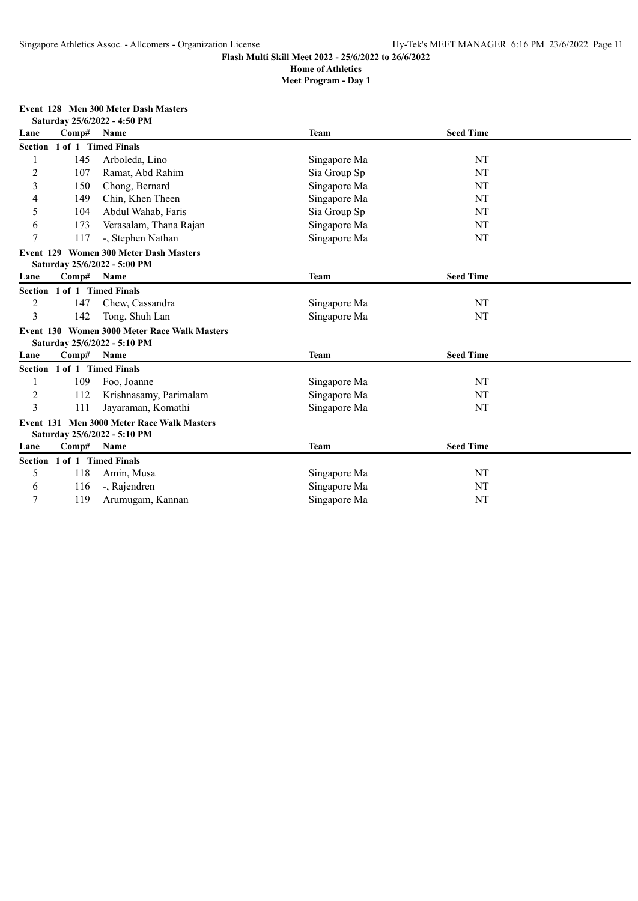## **Meet Program - Day 1**

## **Event 128 Men 300 Meter Dash Masters**

|                | Saturday 25/6/2022 - 4:50 PM |                                              |              |                  |  |  |
|----------------|------------------------------|----------------------------------------------|--------------|------------------|--|--|
| Lane           | Comp#                        | Name                                         | <b>Team</b>  | <b>Seed Time</b> |  |  |
|                | Section 1 of 1 Timed Finals  |                                              |              |                  |  |  |
|                | 145                          | Arboleda, Lino                               | Singapore Ma | NT               |  |  |
| $\overline{c}$ | 107                          | Ramat, Abd Rahim                             | Sia Group Sp | NT               |  |  |
| 3              | 150                          | Chong, Bernard                               | Singapore Ma | NT               |  |  |
| 4              | 149                          | Chin, Khen Theen                             | Singapore Ma | NT               |  |  |
| 5              | 104                          | Abdul Wahab, Faris                           | Sia Group Sp | NT               |  |  |
| 6              | 173                          | Verasalam, Thana Rajan                       | Singapore Ma | NT               |  |  |
| 7              | 117                          | -, Stephen Nathan                            | Singapore Ma | NT               |  |  |
|                |                              | Event 129 Women 300 Meter Dash Masters       |              |                  |  |  |
|                |                              | Saturday 25/6/2022 - 5:00 PM                 |              |                  |  |  |
| Lane           | Comp#                        | Name                                         | <b>Team</b>  | <b>Seed Time</b> |  |  |
| <b>Section</b> |                              | 1 of 1 Timed Finals                          |              |                  |  |  |
| $\overline{c}$ | 147                          | Chew, Cassandra                              | Singapore Ma | NT               |  |  |
| 3              | 142                          | Tong, Shuh Lan                               | Singapore Ma | NT               |  |  |
|                |                              | Event 130 Women 3000 Meter Race Walk Masters |              |                  |  |  |
|                |                              | Saturday 25/6/2022 - 5:10 PM                 |              |                  |  |  |
| Lane           | Comp#                        | Name                                         | <b>Team</b>  | <b>Seed Time</b> |  |  |
|                | Section 1 of 1 Timed Finals  |                                              |              |                  |  |  |
|                | 109                          | Foo, Joanne                                  | Singapore Ma | NT               |  |  |
| $\overline{2}$ | 112                          | Krishnasamy, Parimalam                       | Singapore Ma | NT               |  |  |
| $\overline{3}$ | 111                          | Jayaraman, Komathi                           | Singapore Ma | NT               |  |  |
|                |                              | Event 131 Men 3000 Meter Race Walk Masters   |              |                  |  |  |
|                |                              | Saturday 25/6/2022 - 5:10 PM                 |              |                  |  |  |
| Lane           | Comp#                        | Name                                         | <b>Team</b>  | <b>Seed Time</b> |  |  |
|                | Section 1 of 1 Timed Finals  |                                              |              |                  |  |  |
| 5              | 118                          | Amin, Musa                                   | Singapore Ma | NT               |  |  |
| 6              | 116                          | -, Rajendren                                 | Singapore Ma | NT               |  |  |
| 7              | 119                          | Arumugam, Kannan                             | Singapore Ma | NT               |  |  |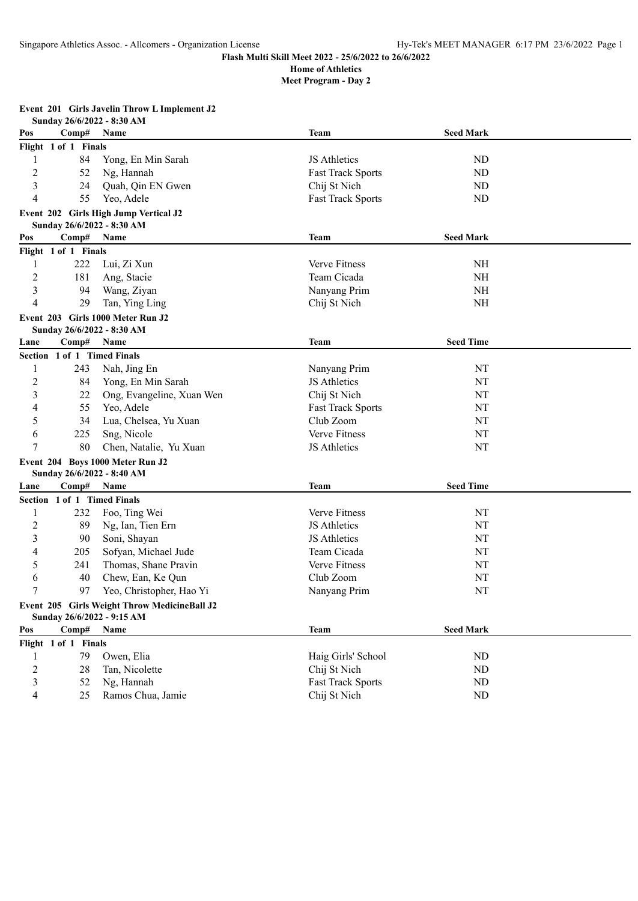|                | Sunday 26/6/2022 - 8:30 AM  |                                              |                          |                  |  |
|----------------|-----------------------------|----------------------------------------------|--------------------------|------------------|--|
| Pos            | Comp#                       | Name                                         | Team                     | <b>Seed Mark</b> |  |
|                | Flight 1 of 1 Finals        |                                              |                          |                  |  |
| 1              | 84                          | Yong, En Min Sarah                           | JS Athletics             | ND               |  |
| $\overline{c}$ | 52                          | Ng, Hannah                                   | <b>Fast Track Sports</b> | ND               |  |
| 3              | 24                          | Quah, Qin EN Gwen                            | Chij St Nich             | ND               |  |
| 4              | 55                          | Yeo, Adele                                   | <b>Fast Track Sports</b> | <b>ND</b>        |  |
|                | Sunday 26/6/2022 - 8:30 AM  | Event 202 Girls High Jump Vertical J2        |                          |                  |  |
| Pos            | Comp#                       | Name                                         | Team                     | <b>Seed Mark</b> |  |
|                | Flight 1 of 1 Finals        |                                              |                          |                  |  |
| 1              | 222                         | Lui, Zi Xun                                  | Verve Fitness            | <b>NH</b>        |  |
| $\overline{c}$ | 181                         | Ang, Stacie                                  | Team Cicada              | <b>NH</b>        |  |
| 3              | 94                          | Wang, Ziyan                                  | Nanyang Prim             | <b>NH</b>        |  |
| 4              | 29                          | Tan, Ying Ling                               | Chij St Nich             | <b>NH</b>        |  |
|                |                             | Event 203 Girls 1000 Meter Run J2            |                          |                  |  |
|                | Sunday 26/6/2022 - 8:30 AM  |                                              |                          |                  |  |
| Lane           | Comp#                       | Name                                         | Team                     | <b>Seed Time</b> |  |
|                | Section 1 of 1 Timed Finals |                                              |                          |                  |  |
| 1              | 243                         | Nah, Jing En                                 | Nanyang Prim             | NT               |  |
| 2              | 84                          | Yong, En Min Sarah                           | JS Athletics             | NT               |  |
| 3              | 22                          | Ong, Evangeline, Xuan Wen                    | Chij St Nich             | NT               |  |
| 4              | 55                          | Yeo, Adele                                   | <b>Fast Track Sports</b> | NT               |  |
| 5              | 34                          | Lua, Chelsea, Yu Xuan                        | Club Zoom                | NT               |  |
| 6              | 225                         | Sng, Nicole                                  | Verve Fitness            | NT               |  |
| 7              | 80                          | Chen, Natalie, Yu Xuan                       | JS Athletics             | NT               |  |
|                |                             | Event 204 Boys 1000 Meter Run J2             |                          |                  |  |
|                | Sunday 26/6/2022 - 8:40 AM  |                                              |                          |                  |  |
| Lane           | Comp#                       | Name                                         | <b>Team</b>              | <b>Seed Time</b> |  |
|                | Section 1 of 1 Timed Finals |                                              |                          |                  |  |
| 1              | 232                         | Foo, Ting Wei                                | Verve Fitness            | NT               |  |
| $\overline{c}$ | 89                          | Ng, Ian, Tien Ern                            | JS Athletics             | NT               |  |
| 3              | 90                          | Soni, Shayan                                 | <b>JS</b> Athletics      | NT               |  |
| 4              | 205                         | Sofyan, Michael Jude                         | Team Cicada              | NT               |  |
| 5              | 241                         | Thomas, Shane Pravin                         | Verve Fitness            | NT               |  |
| 6              | 40                          | Chew, Ean, Ke Qun                            | Club Zoom                | NT               |  |
| 7              | 97                          | Yeo, Christopher, Hao Yi                     | Nanyang Prim             | NT               |  |
|                |                             | Event 205 Girls Weight Throw MedicineBall J2 |                          |                  |  |
|                | Sunday 26/6/2022 - 9:15 AM  |                                              |                          |                  |  |
| Pos            | Comp#                       | Name                                         | <b>Team</b>              | <b>Seed Mark</b> |  |
|                | Flight 1 of 1 Finals        |                                              |                          |                  |  |
| 1              | 79                          | Owen, Elia                                   | Haig Girls' School       | ND               |  |
| $\overline{c}$ | 28                          | Tan, Nicolette                               | Chij St Nich             | <b>ND</b>        |  |
| 3              | 52                          | Ng, Hannah                                   | <b>Fast Track Sports</b> | <b>ND</b>        |  |
| 4              | 25                          | Ramos Chua, Jamie                            | Chij St Nich             | ND               |  |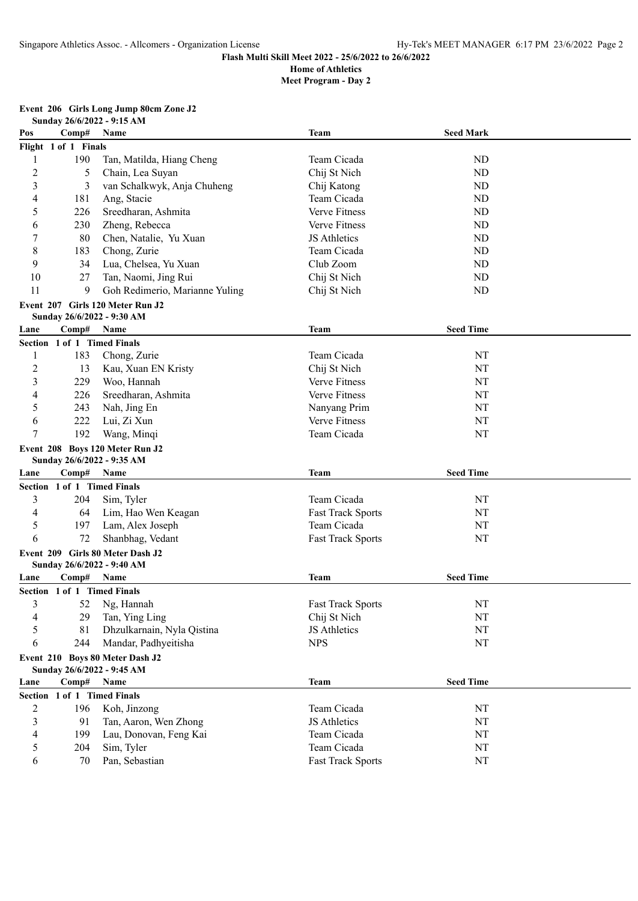| Event 206 Girls Long Jump 80cm Zone J2 |
|----------------------------------------|
| Sunday 26/6/2022 - 9:15 AM             |

| Pos            | Comp#                       | Name                             | <b>Team</b>              | <b>Seed Mark</b> |  |  |  |
|----------------|-----------------------------|----------------------------------|--------------------------|------------------|--|--|--|
|                | Flight 1 of 1 Finals        |                                  |                          |                  |  |  |  |
| 1              | 190                         | Tan, Matilda, Hiang Cheng        | Team Cicada              | ND               |  |  |  |
| $\overline{2}$ | 5                           | Chain, Lea Suyan                 | Chij St Nich             | <b>ND</b>        |  |  |  |
| 3              | 3                           | van Schalkwyk, Anja Chuheng      | Chij Katong              | ND               |  |  |  |
| 4              | 181                         | Ang, Stacie                      | Team Cicada              | ND               |  |  |  |
| 5              | 226                         | Sreedharan, Ashmita              | Verve Fitness            | ND               |  |  |  |
| 6              | 230                         | Zheng, Rebecca                   | Verve Fitness            | ND               |  |  |  |
| 7              | 80                          | Chen, Natalie, Yu Xuan           | JS Athletics             | ND               |  |  |  |
| 8              | 183                         | Chong, Zurie                     | Team Cicada              | <b>ND</b>        |  |  |  |
| 9              | 34                          | Lua, Chelsea, Yu Xuan            | Club Zoom                | <b>ND</b>        |  |  |  |
| 10             | 27                          | Tan, Naomi, Jing Rui             | Chij St Nich             | <b>ND</b>        |  |  |  |
| 11             | 9                           | Goh Redimerio, Marianne Yuling   | Chij St Nich             | <b>ND</b>        |  |  |  |
|                |                             | Event 207 Girls 120 Meter Run J2 |                          |                  |  |  |  |
|                |                             | Sunday 26/6/2022 - 9:30 AM       |                          |                  |  |  |  |
| Lane           | Comp#                       | Name                             | Team                     | <b>Seed Time</b> |  |  |  |
|                | Section 1 of 1 Timed Finals |                                  |                          |                  |  |  |  |
| 1              | 183                         | Chong, Zurie                     | Team Cicada              | NT               |  |  |  |
| $\overline{2}$ | 13                          | Kau, Xuan EN Kristy              | Chij St Nich             | NT               |  |  |  |
| $\mathfrak{Z}$ | 229                         | Woo, Hannah                      | Verve Fitness            | NT               |  |  |  |
| 4              | 226                         | Sreedharan, Ashmita              | Verve Fitness            | NT               |  |  |  |
| 5              | 243                         | Nah, Jing En                     | Nanyang Prim             | NT               |  |  |  |
| 6              | 222                         | Lui, Zi Xun                      | Verve Fitness            | <b>NT</b>        |  |  |  |
| 7              | 192                         | Wang, Minqi                      | Team Cicada              | NT               |  |  |  |
|                |                             | Event 208 Boys 120 Meter Run J2  |                          |                  |  |  |  |
|                |                             | Sunday 26/6/2022 - 9:35 AM       |                          |                  |  |  |  |
| Lane           | Comp#                       | Name                             | <b>Team</b>              | <b>Seed Time</b> |  |  |  |
|                | Section 1 of 1 Timed Finals |                                  |                          |                  |  |  |  |
| 3              | 204                         | Sim, Tyler                       | Team Cicada              | NT               |  |  |  |
| 4              | 64                          | Lim, Hao Wen Keagan              | <b>Fast Track Sports</b> | <b>NT</b>        |  |  |  |
| 5              | 197                         | Lam, Alex Joseph                 | Team Cicada              | NT               |  |  |  |
| 6              | 72                          | Shanbhag, Vedant                 | <b>Fast Track Sports</b> | NT               |  |  |  |
|                |                             | Event 209 Girls 80 Meter Dash J2 |                          |                  |  |  |  |
|                |                             | Sunday 26/6/2022 - 9:40 AM       |                          |                  |  |  |  |
| Lane           | Comp#                       | Name                             | Team                     | <b>Seed Time</b> |  |  |  |
|                | Section 1 of 1 Timed Finals |                                  |                          |                  |  |  |  |
|                |                             | 52 Ng, Hannah                    | <b>Fast Track Sports</b> | NT               |  |  |  |
| 4              | 29                          | Tan, Ying Ling                   | Chij St Nich             | NT               |  |  |  |
| 5              | 81                          | Dhzulkarnain, Nyla Qistina       | JS Athletics             | NT               |  |  |  |
| 6              |                             |                                  |                          |                  |  |  |  |
|                | 244                         | Mandar, Padhyeitisha             | <b>NPS</b>               | $\rm{NT}$        |  |  |  |
|                |                             | Event 210 Boys 80 Meter Dash J2  |                          |                  |  |  |  |
|                |                             | Sunday 26/6/2022 - 9:45 AM       |                          |                  |  |  |  |
| Lane           | Comp#                       | Name                             | <b>Team</b>              | <b>Seed Time</b> |  |  |  |
|                | Section 1 of 1 Timed Finals |                                  |                          |                  |  |  |  |
| $\overline{c}$ | 196                         | Koh, Jinzong                     | Team Cicada              | NT               |  |  |  |
| 3              | 91                          | Tan, Aaron, Wen Zhong            | JS Athletics             | NT               |  |  |  |
| $\overline{4}$ | 199                         | Lau, Donovan, Feng Kai           | Team Cicada              | NT               |  |  |  |
| 5              | 204                         | Sim, Tyler                       | Team Cicada              | $\rm{NT}$        |  |  |  |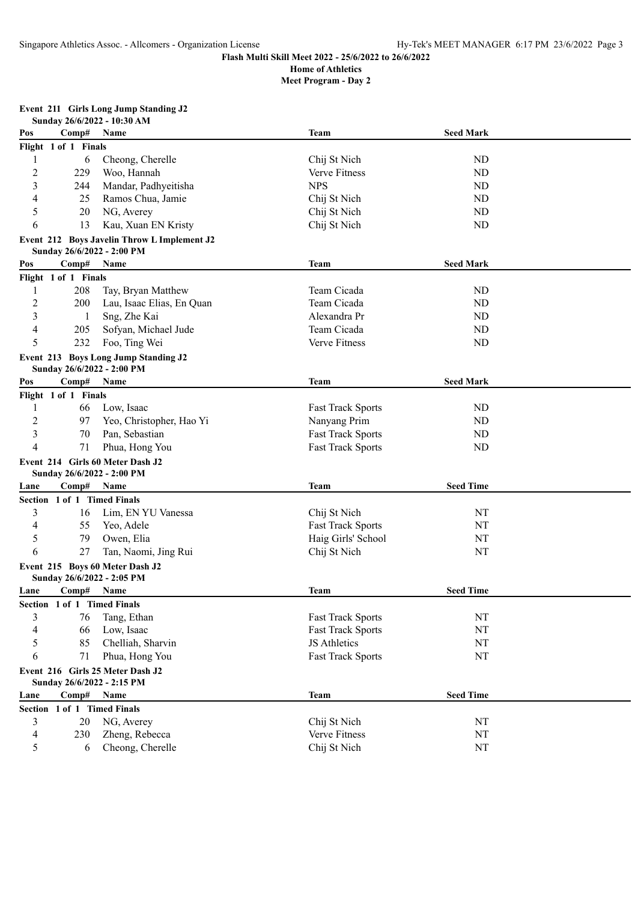| <b>Event 211 Girls Long Jump Standing J2</b> |  |
|----------------------------------------------|--|
|----------------------------------------------|--|

|                |                             | Sunday 26/6/2022 - 10:30 AM                 |                                 |    |  |  |  |  |  |
|----------------|-----------------------------|---------------------------------------------|---------------------------------|----|--|--|--|--|--|
| Pos            | Comp#                       | Name                                        | <b>Seed Mark</b><br>Team        |    |  |  |  |  |  |
|                | Flight 1 of 1 Finals        |                                             |                                 |    |  |  |  |  |  |
| 1              | 6                           | Cheong, Cherelle                            | Chij St Nich                    | ND |  |  |  |  |  |
| $\overline{2}$ | 229                         | Woo, Hannah                                 | Verve Fitness                   | ND |  |  |  |  |  |
| 3              | 244                         | Mandar, Padhyeitisha                        | <b>NPS</b>                      | ND |  |  |  |  |  |
| 4              | 25                          | Ramos Chua, Jamie                           | Chij St Nich                    | ND |  |  |  |  |  |
| 5              | 20                          | NG, Averey                                  | Chij St Nich                    | ND |  |  |  |  |  |
| 6              | 13                          | Kau, Xuan EN Kristy                         | Chij St Nich                    | ND |  |  |  |  |  |
|                |                             | Event 212 Boys Javelin Throw L Implement J2 |                                 |    |  |  |  |  |  |
|                | Sunday 26/6/2022 - 2:00 PM  |                                             |                                 |    |  |  |  |  |  |
| Pos            | Comp#                       | Name                                        | <b>Seed Mark</b><br><b>Team</b> |    |  |  |  |  |  |
|                | Flight 1 of 1 Finals        |                                             |                                 |    |  |  |  |  |  |
| 1              | 208                         | Tay, Bryan Matthew                          | Team Cicada                     | ND |  |  |  |  |  |
| $\overline{c}$ | 200                         | Lau, Isaac Elias, En Quan                   | Team Cicada                     | ND |  |  |  |  |  |
| 3              | 1                           | Sng, Zhe Kai                                | Alexandra Pr                    | ND |  |  |  |  |  |
| $\overline{4}$ | 205                         | Sofyan, Michael Jude                        | Team Cicada                     | ND |  |  |  |  |  |
| 5              | 232                         | Foo, Ting Wei                               | Verve Fitness                   | ND |  |  |  |  |  |
|                | Sunday 26/6/2022 - 2:00 PM  | Event 213 Boys Long Jump Standing J2        |                                 |    |  |  |  |  |  |
| Pos            | Comp#                       | Name                                        | <b>Team</b><br><b>Seed Mark</b> |    |  |  |  |  |  |
|                | Flight 1 of 1 Finals        |                                             |                                 |    |  |  |  |  |  |
| 1              | 66                          | Low, Isaac                                  | <b>Fast Track Sports</b>        | ND |  |  |  |  |  |
| $\overline{c}$ | 97                          | Yeo, Christopher, Hao Yi                    | Nanyang Prim                    | ND |  |  |  |  |  |
| 3              | 70                          | Pan, Sebastian                              | <b>Fast Track Sports</b>        | ND |  |  |  |  |  |
| $\overline{4}$ | 71                          | Phua, Hong You                              | <b>Fast Track Sports</b>        | ND |  |  |  |  |  |
|                |                             | Event 214 Girls 60 Meter Dash J2            |                                 |    |  |  |  |  |  |
|                | Sunday 26/6/2022 - 2:00 PM  |                                             |                                 |    |  |  |  |  |  |
| Lane           | Comp#                       | Name                                        | <b>Seed Time</b><br><b>Team</b> |    |  |  |  |  |  |
|                | Section 1 of 1 Timed Finals |                                             |                                 |    |  |  |  |  |  |
| 3              | 16                          | Lim, EN YU Vanessa                          | Chij St Nich                    | NT |  |  |  |  |  |
| 4              | 55                          | Yeo, Adele                                  | <b>Fast Track Sports</b>        | NT |  |  |  |  |  |
| 5              | 79                          | Owen, Elia                                  | Haig Girls' School              | NT |  |  |  |  |  |
| 6              | 27                          | Tan, Naomi, Jing Rui                        | Chij St Nich                    | NT |  |  |  |  |  |
|                |                             | Event 215 Boys 60 Meter Dash J2             |                                 |    |  |  |  |  |  |
|                | Sunday 26/6/2022 - 2:05 PM  |                                             |                                 |    |  |  |  |  |  |
| Lane           | Comp#                       | Name                                        | Team<br><b>Seed Time</b>        |    |  |  |  |  |  |
|                | Section 1 of 1 Timed Finals |                                             |                                 |    |  |  |  |  |  |
| 3              | 76                          | Tang, Ethan                                 | Fast Track Sports               | NT |  |  |  |  |  |
| 4              | 66                          | Low, Isaac                                  | <b>Fast Track Sports</b>        | NT |  |  |  |  |  |
| 5              | 85                          | Chelliah, Sharvin                           | JS Athletics                    | NT |  |  |  |  |  |
| 6              | 71                          | Phua, Hong You                              | <b>Fast Track Sports</b>        | NT |  |  |  |  |  |
|                |                             | Event 216 Girls 25 Meter Dash J2            |                                 |    |  |  |  |  |  |
|                | Sunday 26/6/2022 - 2:15 PM  |                                             |                                 |    |  |  |  |  |  |
| Lane           | Comp#                       | Name                                        | <b>Seed Time</b><br><b>Team</b> |    |  |  |  |  |  |
|                | Section 1 of 1 Timed Finals |                                             |                                 |    |  |  |  |  |  |
| 3              | 20                          | NG, Averey                                  | Chij St Nich                    | NT |  |  |  |  |  |
| 4              | 230                         | Zheng, Rebecca                              | Verve Fitness                   | NT |  |  |  |  |  |
| 5              | 6                           | Cheong, Cherelle                            | Chij St Nich                    | NT |  |  |  |  |  |
|                |                             |                                             |                                 |    |  |  |  |  |  |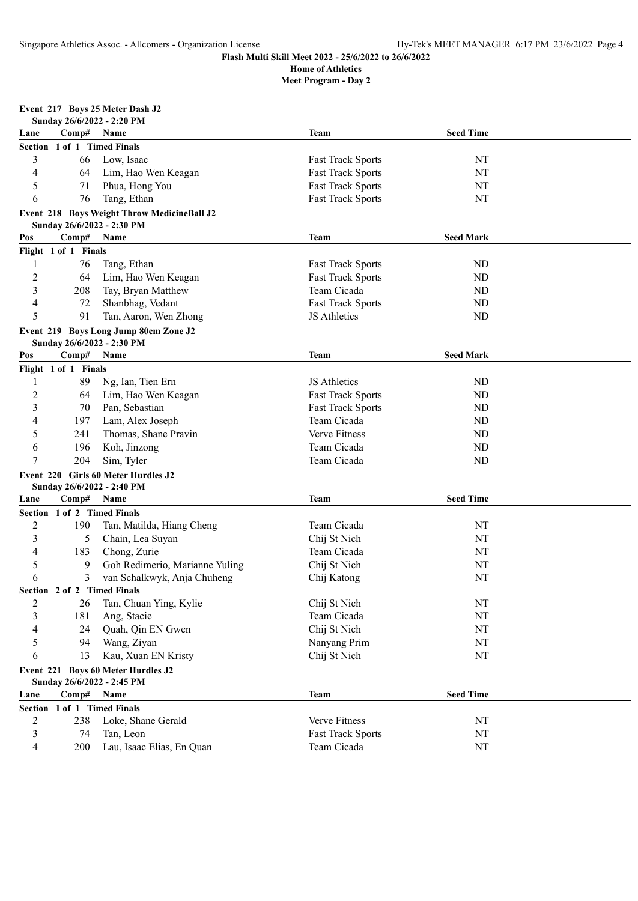**Meet Program - Day 2**

# **Event 217 Boys 25 Meter Dash J2**

| Sunday 26/6/2022 - 2:20 PM |  |
|----------------------------|--|
|                            |  |

| Lane           | Comp#                       | Name                                                                      | <b>Team</b>              | <b>Seed Time</b> |  |  |  |
|----------------|-----------------------------|---------------------------------------------------------------------------|--------------------------|------------------|--|--|--|
|                | Section 1 of 1 Timed Finals |                                                                           |                          |                  |  |  |  |
| 3              | 66                          | Low, Isaac                                                                | <b>Fast Track Sports</b> | NT               |  |  |  |
| 4              | 64                          | Lim, Hao Wen Keagan                                                       | <b>Fast Track Sports</b> | NT               |  |  |  |
| 5              | 71                          | Phua, Hong You                                                            | <b>Fast Track Sports</b> | NT               |  |  |  |
| 6              | 76                          | Tang, Ethan                                                               | <b>Fast Track Sports</b> | NT               |  |  |  |
|                |                             | Event 218 Boys Weight Throw MedicineBall J2<br>Sunday 26/6/2022 - 2:30 PM |                          |                  |  |  |  |
| Pos            | Comp#                       | Name                                                                      | <b>Team</b>              | <b>Seed Mark</b> |  |  |  |
|                | Flight 1 of 1 Finals        |                                                                           |                          |                  |  |  |  |
| 1              | 76                          | Tang, Ethan                                                               | <b>Fast Track Sports</b> | ND               |  |  |  |
| $\overline{c}$ | 64                          | Lim, Hao Wen Keagan                                                       | <b>Fast Track Sports</b> | ND               |  |  |  |
| 3              | 208                         | Tay, Bryan Matthew                                                        | Team Cicada              | <b>ND</b>        |  |  |  |
| 4              | 72                          | Shanbhag, Vedant                                                          | <b>Fast Track Sports</b> | ND               |  |  |  |
| 5              | 91                          | Tan, Aaron, Wen Zhong                                                     | JS Athletics             | <b>ND</b>        |  |  |  |
|                |                             | Event 219 Boys Long Jump 80cm Zone J2                                     |                          |                  |  |  |  |
|                |                             | Sunday 26/6/2022 - 2:30 PM                                                |                          |                  |  |  |  |
| Pos            | Comp#                       | Name                                                                      | <b>Team</b>              | <b>Seed Mark</b> |  |  |  |
|                | Flight 1 of 1 Finals        |                                                                           |                          |                  |  |  |  |
| 1              | 89                          | Ng, Ian, Tien Ern                                                         | JS Athletics             | ND               |  |  |  |
| $\overline{c}$ | 64                          | Lim, Hao Wen Keagan                                                       | <b>Fast Track Sports</b> | ND               |  |  |  |
| 3              | 70                          | Pan, Sebastian                                                            | <b>Fast Track Sports</b> | ND               |  |  |  |
| 4              | 197                         | Lam, Alex Joseph                                                          | Team Cicada              | ND               |  |  |  |
| 5              | 241                         | Thomas, Shane Pravin                                                      | Verve Fitness            | <b>ND</b>        |  |  |  |
| 6              | 196                         | Koh, Jinzong                                                              | Team Cicada              | ND               |  |  |  |
| 7              | 204                         | Sim, Tyler                                                                | Team Cicada              | ND               |  |  |  |
|                |                             | Event 220 Girls 60 Meter Hurdles J2                                       |                          |                  |  |  |  |
|                |                             | Sunday 26/6/2022 - 2:40 PM                                                |                          |                  |  |  |  |
| Lane           | Comp#                       | Name                                                                      | <b>Team</b>              | <b>Seed Time</b> |  |  |  |
|                | Section 1 of 2 Timed Finals |                                                                           |                          |                  |  |  |  |
| $\overline{c}$ | 190                         | Tan, Matilda, Hiang Cheng                                                 | Team Cicada              | NT               |  |  |  |
| 3              | 5                           | Chain, Lea Suyan                                                          | Chij St Nich             | NT               |  |  |  |
| 4              | 183                         | Chong, Zurie                                                              | Team Cicada              | NT               |  |  |  |
| 5              | 9                           | Goh Redimerio, Marianne Yuling                                            | Chij St Nich             | NT               |  |  |  |
| 6              | 3                           | van Schalkwyk, Anja Chuheng                                               | Chij Katong              | NT               |  |  |  |
|                | Section 2 of 2 Timed Finals |                                                                           |                          |                  |  |  |  |
| 2              | 26.                         | Tan, Chuan Ying, Kylie                                                    | Chij St Nich             | NT               |  |  |  |
| 3              | 181                         | Ang, Stacie                                                               | Team Cicada              | NT               |  |  |  |
| 4              | 24                          | Quah, Qin EN Gwen                                                         | Chij St Nich             | NT               |  |  |  |
| 5              | 94                          | Wang, Ziyan                                                               | Nanyang Prim             | NT               |  |  |  |
| 6              | 13                          | Kau, Xuan EN Kristy                                                       | Chij St Nich             | NT               |  |  |  |
|                |                             | Event 221 Boys 60 Meter Hurdles J2<br>Sunday 26/6/2022 - 2:45 PM          |                          |                  |  |  |  |
| Lane           | Comp#                       | Name                                                                      | <b>Team</b>              | <b>Seed Time</b> |  |  |  |
|                | Section 1 of 1 Timed Finals |                                                                           |                          |                  |  |  |  |
| 2              | 238                         | Loke, Shane Gerald                                                        | Verve Fitness            | NT               |  |  |  |
| 3              | 74                          | Tan, Leon                                                                 | <b>Fast Track Sports</b> | NT               |  |  |  |
| 4              | 200                         | Lau, Isaac Elias, En Quan                                                 | Team Cicada              | NT               |  |  |  |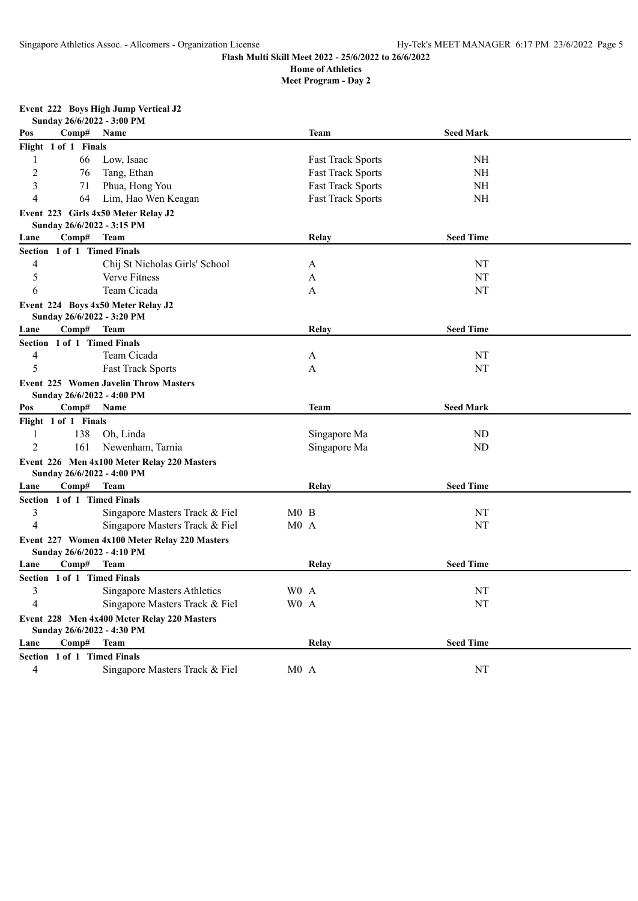**Meet Program - Day 2**

## **Event 222 Boys High Jump Vertical J2**

| Comp#<br><b>Team</b><br><b>Seed Mark</b><br>Pos<br>Name<br>Flight 1 of 1 Finals<br>Low, Isaac<br>1<br>66<br><b>Fast Track Sports</b><br>NH<br>$\overline{2}$<br>76<br>Tang, Ethan<br><b>Fast Track Sports</b><br>NH<br>3<br>71<br>Phua, Hong You<br><b>Fast Track Sports</b><br><b>NH</b><br>4<br>Lim, Hao Wen Keagan<br>64<br><b>Fast Track Sports</b><br>NH<br>Event 223 Girls 4x50 Meter Relay J2<br>Sunday 26/6/2022 - 3:15 PM<br><b>Seed Time</b><br>Comp#<br><b>Team</b><br>Relay<br>Lane<br>Section 1 of 1 Timed Finals<br>4<br>Chij St Nicholas Girls' School<br>NT<br>A<br>5<br><b>Verve Fitness</b><br>NT<br>A<br>6<br>Team Cicada<br>NT<br>A<br>Event 224 Boys 4x50 Meter Relay J2<br>Sunday 26/6/2022 - 3:20 PM<br><b>Seed Time</b><br>$\bf Comp\#$<br><b>Team</b><br>Relay<br>Lane<br>Section 1 of 1 Timed Finals<br>4<br>Team Cicada<br>NT<br>A<br>5<br>NT<br><b>Fast Track Sports</b><br>A<br><b>Event 225 Women Javelin Throw Masters</b><br>Sunday 26/6/2022 - 4:00 PM<br><b>Seed Mark</b><br>Pos<br>Comp#<br>Name<br><b>Team</b><br>Flight 1 of 1 Finals |  |  |  |  |  |  |  |
|----------------------------------------------------------------------------------------------------------------------------------------------------------------------------------------------------------------------------------------------------------------------------------------------------------------------------------------------------------------------------------------------------------------------------------------------------------------------------------------------------------------------------------------------------------------------------------------------------------------------------------------------------------------------------------------------------------------------------------------------------------------------------------------------------------------------------------------------------------------------------------------------------------------------------------------------------------------------------------------------------------------------------------------------------------------------------|--|--|--|--|--|--|--|
|                                                                                                                                                                                                                                                                                                                                                                                                                                                                                                                                                                                                                                                                                                                                                                                                                                                                                                                                                                                                                                                                            |  |  |  |  |  |  |  |
|                                                                                                                                                                                                                                                                                                                                                                                                                                                                                                                                                                                                                                                                                                                                                                                                                                                                                                                                                                                                                                                                            |  |  |  |  |  |  |  |
|                                                                                                                                                                                                                                                                                                                                                                                                                                                                                                                                                                                                                                                                                                                                                                                                                                                                                                                                                                                                                                                                            |  |  |  |  |  |  |  |
|                                                                                                                                                                                                                                                                                                                                                                                                                                                                                                                                                                                                                                                                                                                                                                                                                                                                                                                                                                                                                                                                            |  |  |  |  |  |  |  |
|                                                                                                                                                                                                                                                                                                                                                                                                                                                                                                                                                                                                                                                                                                                                                                                                                                                                                                                                                                                                                                                                            |  |  |  |  |  |  |  |
|                                                                                                                                                                                                                                                                                                                                                                                                                                                                                                                                                                                                                                                                                                                                                                                                                                                                                                                                                                                                                                                                            |  |  |  |  |  |  |  |
|                                                                                                                                                                                                                                                                                                                                                                                                                                                                                                                                                                                                                                                                                                                                                                                                                                                                                                                                                                                                                                                                            |  |  |  |  |  |  |  |
|                                                                                                                                                                                                                                                                                                                                                                                                                                                                                                                                                                                                                                                                                                                                                                                                                                                                                                                                                                                                                                                                            |  |  |  |  |  |  |  |
|                                                                                                                                                                                                                                                                                                                                                                                                                                                                                                                                                                                                                                                                                                                                                                                                                                                                                                                                                                                                                                                                            |  |  |  |  |  |  |  |
|                                                                                                                                                                                                                                                                                                                                                                                                                                                                                                                                                                                                                                                                                                                                                                                                                                                                                                                                                                                                                                                                            |  |  |  |  |  |  |  |
|                                                                                                                                                                                                                                                                                                                                                                                                                                                                                                                                                                                                                                                                                                                                                                                                                                                                                                                                                                                                                                                                            |  |  |  |  |  |  |  |
|                                                                                                                                                                                                                                                                                                                                                                                                                                                                                                                                                                                                                                                                                                                                                                                                                                                                                                                                                                                                                                                                            |  |  |  |  |  |  |  |
|                                                                                                                                                                                                                                                                                                                                                                                                                                                                                                                                                                                                                                                                                                                                                                                                                                                                                                                                                                                                                                                                            |  |  |  |  |  |  |  |
|                                                                                                                                                                                                                                                                                                                                                                                                                                                                                                                                                                                                                                                                                                                                                                                                                                                                                                                                                                                                                                                                            |  |  |  |  |  |  |  |
|                                                                                                                                                                                                                                                                                                                                                                                                                                                                                                                                                                                                                                                                                                                                                                                                                                                                                                                                                                                                                                                                            |  |  |  |  |  |  |  |
|                                                                                                                                                                                                                                                                                                                                                                                                                                                                                                                                                                                                                                                                                                                                                                                                                                                                                                                                                                                                                                                                            |  |  |  |  |  |  |  |
|                                                                                                                                                                                                                                                                                                                                                                                                                                                                                                                                                                                                                                                                                                                                                                                                                                                                                                                                                                                                                                                                            |  |  |  |  |  |  |  |
|                                                                                                                                                                                                                                                                                                                                                                                                                                                                                                                                                                                                                                                                                                                                                                                                                                                                                                                                                                                                                                                                            |  |  |  |  |  |  |  |
|                                                                                                                                                                                                                                                                                                                                                                                                                                                                                                                                                                                                                                                                                                                                                                                                                                                                                                                                                                                                                                                                            |  |  |  |  |  |  |  |
|                                                                                                                                                                                                                                                                                                                                                                                                                                                                                                                                                                                                                                                                                                                                                                                                                                                                                                                                                                                                                                                                            |  |  |  |  |  |  |  |
|                                                                                                                                                                                                                                                                                                                                                                                                                                                                                                                                                                                                                                                                                                                                                                                                                                                                                                                                                                                                                                                                            |  |  |  |  |  |  |  |
|                                                                                                                                                                                                                                                                                                                                                                                                                                                                                                                                                                                                                                                                                                                                                                                                                                                                                                                                                                                                                                                                            |  |  |  |  |  |  |  |
| 138<br>Oh, Linda<br>1<br>Singapore Ma<br>ND                                                                                                                                                                                                                                                                                                                                                                                                                                                                                                                                                                                                                                                                                                                                                                                                                                                                                                                                                                                                                                |  |  |  |  |  |  |  |
| $\overline{2}$<br>161<br>Newenham, Tarnia<br>Singapore Ma<br>ND                                                                                                                                                                                                                                                                                                                                                                                                                                                                                                                                                                                                                                                                                                                                                                                                                                                                                                                                                                                                            |  |  |  |  |  |  |  |
| Event 226 Men 4x100 Meter Relay 220 Masters                                                                                                                                                                                                                                                                                                                                                                                                                                                                                                                                                                                                                                                                                                                                                                                                                                                                                                                                                                                                                                |  |  |  |  |  |  |  |
| Sunday 26/6/2022 - 4:00 PM                                                                                                                                                                                                                                                                                                                                                                                                                                                                                                                                                                                                                                                                                                                                                                                                                                                                                                                                                                                                                                                 |  |  |  |  |  |  |  |
| <b>Seed Time</b><br>$\bf Comp\#$<br><b>Team</b><br>Lane<br>Relay                                                                                                                                                                                                                                                                                                                                                                                                                                                                                                                                                                                                                                                                                                                                                                                                                                                                                                                                                                                                           |  |  |  |  |  |  |  |
| Section 1 of 1 Timed Finals                                                                                                                                                                                                                                                                                                                                                                                                                                                                                                                                                                                                                                                                                                                                                                                                                                                                                                                                                                                                                                                |  |  |  |  |  |  |  |
| 3<br>Singapore Masters Track & Fiel<br>M0 B<br>NT                                                                                                                                                                                                                                                                                                                                                                                                                                                                                                                                                                                                                                                                                                                                                                                                                                                                                                                                                                                                                          |  |  |  |  |  |  |  |
| 4<br>Singapore Masters Track & Fiel<br>M0A<br>NT                                                                                                                                                                                                                                                                                                                                                                                                                                                                                                                                                                                                                                                                                                                                                                                                                                                                                                                                                                                                                           |  |  |  |  |  |  |  |
| Event 227 Women 4x100 Meter Relay 220 Masters<br>Sunday 26/6/2022 - 4:10 PM                                                                                                                                                                                                                                                                                                                                                                                                                                                                                                                                                                                                                                                                                                                                                                                                                                                                                                                                                                                                |  |  |  |  |  |  |  |
| Comp#<br><b>Seed Time</b><br><b>Team</b><br>Relay<br>Lane                                                                                                                                                                                                                                                                                                                                                                                                                                                                                                                                                                                                                                                                                                                                                                                                                                                                                                                                                                                                                  |  |  |  |  |  |  |  |
| Section 1 of 1 Timed Finals                                                                                                                                                                                                                                                                                                                                                                                                                                                                                                                                                                                                                                                                                                                                                                                                                                                                                                                                                                                                                                                |  |  |  |  |  |  |  |
| 3<br><b>Singapore Masters Athletics</b><br>W <sub>0</sub> A<br>NT                                                                                                                                                                                                                                                                                                                                                                                                                                                                                                                                                                                                                                                                                                                                                                                                                                                                                                                                                                                                          |  |  |  |  |  |  |  |
| $\overline{4}$<br>W <sub>0</sub> A<br>Singapore Masters Track & Fiel<br>NT                                                                                                                                                                                                                                                                                                                                                                                                                                                                                                                                                                                                                                                                                                                                                                                                                                                                                                                                                                                                 |  |  |  |  |  |  |  |
| Event 228 Men 4x400 Meter Relay 220 Masters                                                                                                                                                                                                                                                                                                                                                                                                                                                                                                                                                                                                                                                                                                                                                                                                                                                                                                                                                                                                                                |  |  |  |  |  |  |  |
| Sunday 26/6/2022 - 4:30 PM<br><b>Seed Time</b><br>Comp#<br><b>Team</b><br>Relay<br>Lane                                                                                                                                                                                                                                                                                                                                                                                                                                                                                                                                                                                                                                                                                                                                                                                                                                                                                                                                                                                    |  |  |  |  |  |  |  |
| Section 1 of 1 Timed Finals                                                                                                                                                                                                                                                                                                                                                                                                                                                                                                                                                                                                                                                                                                                                                                                                                                                                                                                                                                                                                                                |  |  |  |  |  |  |  |
| 4<br>M0A<br>NT<br>Singapore Masters Track & Fiel                                                                                                                                                                                                                                                                                                                                                                                                                                                                                                                                                                                                                                                                                                                                                                                                                                                                                                                                                                                                                           |  |  |  |  |  |  |  |